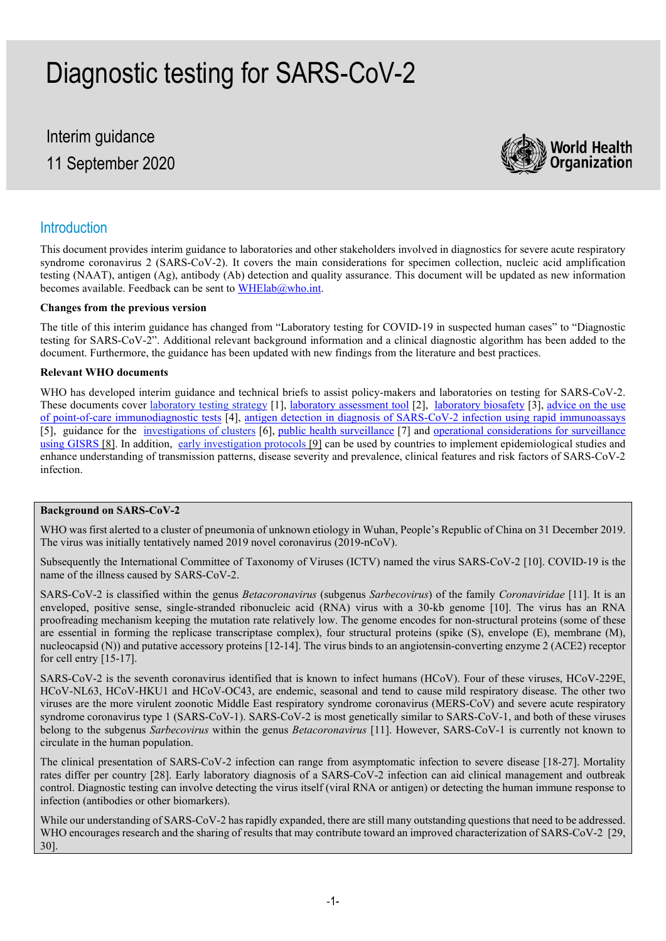# Diagnostic testing for SARS-CoV-2

# Interim guidance 11 September 2020



#### **Introduction**

This document provides interim guidance to laboratories and other stakeholders involved in diagnostics for severe acute respiratory syndrome coronavirus 2 (SARS-CoV-2). It covers the main considerations for specimen collection, nucleic acid amplification testing (NAAT), antigen (Ag), antibody (Ab) detection and quality assurance. This document will be updated as new information becomes available. Feedback can be sent t[o WHElab@who.int.](mailto:WHElab@who.int)

#### **Changes from the previous version**

The title of this interim guidance has changed from "Laboratory testing for COVID-19 in suspected human cases" to "Diagnostic testing for SARS-CoV-2". Additional relevant background information and a clinical diagnostic algorithm has been added to the document. Furthermore, the guidance has been updated with new findings from the literature and best practices.

#### **Relevant WHO documents**

WHO has developed interim guidance and technical briefs to assist policy-makers and laboratories on testing for SARS-CoV-2. These documents cover [laboratory testing strategy](https://apps.who.int/iris/handle/10665/331509) [1], [laboratory assessment tool](https://apps.who.int/iris/handle/10665/331715) [2], [laboratory biosafety](https://apps.who.int/iris/handle/10665/332076) [3], advice on the use [of point-of-care immunodiagnostic tests](https://apps.who.int/iris/handle/10665/331713) [4], [antigen detection in diagnosis of SARS-CoV-2 infection using rapid immunoassays](https://www.who.int/emergencies/diseases/novel-coronavirus-2019/technical-guidance-publications?publicationtypes=f85a3610-b102-4287-a6df-f3bc0b2e9f7c) [5], guidance for the <u>investigations of clusters</u> [6], [public health surveillance](https://apps.who.int/iris/handle/10665/333752) [7] and <u>operational considerations for surveillance</u> [using GISRS](https://apps.who.int/iris/handle/10665/331589) [8]. In addition, [early investigation protocols](https://www.who.int/emergencies/diseases/novel-coronavirus-2019/technical-guidance/early-investigations) [9] can be used by countries to implement epidemiological studies and enhance understanding of transmission patterns, disease severity and prevalence, clinical features and risk factors of SARS-CoV-2 infection.

#### **Background on SARS-CoV-2**

WHO was first alerted to a cluster of pneumonia of unknown etiology in Wuhan, People's Republic of China on 31 December 2019. The virus was initially tentatively named 2019 novel coronavirus (2019-nCoV).

Subsequently the International Committee of Taxonomy of Viruses (ICTV) named the virus SARS-CoV-2 [10]. COVID-19 is the name of the illness caused by SARS-CoV-2.

SARS-CoV-2 is classified within the genus *Betacoronavirus* (subgenus *Sarbecovirus*) of the family *Coronaviridae* [11]. It is an enveloped, positive sense, single-stranded ribonucleic acid (RNA) virus with a 30-kb genome [10]. The virus has an RNA proofreading mechanism keeping the mutation rate relatively low. The genome encodes for non-structural proteins (some of these are essential in forming the replicase transcriptase complex), four structural proteins (spike (S), envelope (E), membrane (M), nucleocapsid (N)) and putative accessory proteins [12-14]. The virus binds to an angiotensin-converting enzyme 2 (ACE2) receptor for cell entry [15-17].

SARS-CoV-2 is the seventh coronavirus identified that is known to infect humans (HCoV). Four of these viruses, HCoV-229E, HCoV-NL63, HCoV-HKU1 and HCoV-OC43, are endemic, seasonal and tend to cause mild respiratory disease. The other two viruses are the more virulent zoonotic Middle East respiratory syndrome coronavirus (MERS-CoV) and severe acute respiratory syndrome coronavirus type 1 (SARS-CoV-1). SARS-CoV-2 is most genetically similar to SARS-CoV-1, and both of these viruses belong to the subgenus *Sarbecovirus* within the genus *Betacoronavirus* [11]. However, SARS-CoV-1 is currently not known to circulate in the human population.

The clinical presentation of SARS-CoV-2 infection can range from asymptomatic infection to severe disease [18-27]. Mortality rates differ per country [28]. Early laboratory diagnosis of a SARS-CoV-2 infection can aid clinical management and outbreak control. Diagnostic testing can involve detecting the virus itself (viral RNA or antigen) or detecting the human immune response to infection (antibodies or other biomarkers).

While our understanding of SARS-CoV-2 has rapidly expanded, there are still many outstanding questions that need to be addressed. WHO encourages research and the sharing of results that may contribute toward an improved characterization of SARS-CoV-2 [29, 30].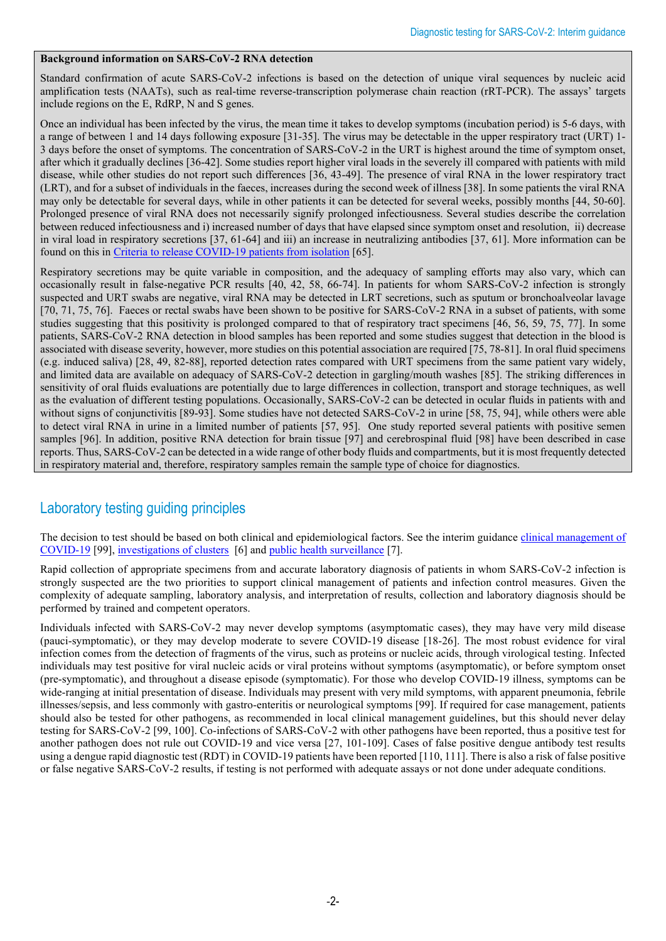#### **Background information on SARS-CoV-2 RNA detection**

Standard confirmation of acute SARS-CoV-2 infections is based on the detection of unique viral sequences by nucleic acid amplification tests (NAATs), such as real-time reverse-transcription polymerase chain reaction (rRT-PCR). The assays' targets include regions on the E, RdRP, N and S genes.

Once an individual has been infected by the virus, the mean time it takes to develop symptoms (incubation period) is 5-6 days, with a range of between 1 and 14 days following exposure [31-35]. The virus may be detectable in the upper respiratory tract (URT) 1- 3 days before the onset of symptoms. The concentration of SARS-CoV-2 in the URT is highest around the time of symptom onset, after which it gradually declines [36-42]. Some studies report higher viral loads in the severely ill compared with patients with mild disease, while other studies do not report such differences [36, 43-49]. The presence of viral RNA in the lower respiratory tract (LRT), and for a subset of individuals in the faeces, increases during the second week of illness [38]. In some patients the viral RNA may only be detectable for several days, while in other patients it can be detected for several weeks, possibly months [44, 50-60]. Prolonged presence of viral RNA does not necessarily signify prolonged infectiousness. Several studies describe the correlation between reduced infectiousness and i) increased number of days that have elapsed since symptom onset and resolution, ii) decrease in viral load in respiratory secretions [37, 61-64] and iii) an increase in neutralizing antibodies [37, 61]. More information can be found on this i[n Criteria to release COVID-19 patients from isolation](https://apps.who.int/iris/handle/10665/332451) [65].

Respiratory secretions may be quite variable in composition, and the adequacy of sampling efforts may also vary, which can occasionally result in false-negative PCR results [40, 42, 58, 66-74]. In patients for whom SARS-CoV-2 infection is strongly suspected and URT swabs are negative, viral RNA may be detected in LRT secretions, such as sputum or bronchoalveolar lavage [70, 71, 75, 76]. Faeces or rectal swabs have been shown to be positive for SARS-CoV-2 RNA in a subset of patients, with some studies suggesting that this positivity is prolonged compared to that of respiratory tract specimens [46, 56, 59, 75, 77]. In some patients, SARS-CoV-2 RNA detection in blood samples has been reported and some studies suggest that detection in the blood is associated with disease severity, however, more studies on this potential association are required [75, 78-81]. In oral fluid specimens (e.g. induced saliva) [28, 49, 82-88], reported detection rates compared with URT specimens from the same patient vary widely, and limited data are available on adequacy of SARS-CoV-2 detection in gargling/mouth washes [85]. The striking differences in sensitivity of oral fluids evaluations are potentially due to large differences in collection, transport and storage techniques, as well as the evaluation of different testing populations. Occasionally, SARS-CoV-2 can be detected in ocular fluids in patients with and without signs of conjunctivitis [89-93]. Some studies have not detected SARS-CoV-2 in urine [58, 75, 94], while others were able to detect viral RNA in urine in a limited number of patients [57, 95]. One study reported several patients with positive semen samples [96]. In addition, positive RNA detection for brain tissue [97] and cerebrospinal fluid [98] have been described in case reports. Thus, SARS-CoV-2 can be detected in a wide range of other body fluids and compartments, but it is most frequently detected in respiratory material and, therefore, respiratory samples remain the sample type of choice for diagnostics.

# Laboratory testing guiding principles

The decision to test should be based on both clinical and epidemiological factors. See the interim guidance clinical management of [COVID-19](https://apps.who.int/iris/handle/10665/332196) [99], [investigations of clusters](https://apps.who.int/iris/handle/10665/331668) [6] and [public health surveillance](https://apps.who.int/iris/handle/10665/333752) [7].

Rapid collection of appropriate specimens from and accurate laboratory diagnosis of patients in whom SARS-CoV-2 infection is strongly suspected are the two priorities to support clinical management of patients and infection control measures. Given the complexity of adequate sampling, laboratory analysis, and interpretation of results, collection and laboratory diagnosis should be performed by trained and competent operators.

Individuals infected with SARS-CoV-2 may never develop symptoms (asymptomatic cases), they may have very mild disease (pauci-symptomatic), or they may develop moderate to severe COVID-19 disease [18-26]. The most robust evidence for viral infection comes from the detection of fragments of the virus, such as proteins or nucleic acids, through virological testing. Infected individuals may test positive for viral nucleic acids or viral proteins without symptoms (asymptomatic), or before symptom onset (pre-symptomatic), and throughout a disease episode (symptomatic). For those who develop COVID-19 illness, symptoms can be wide-ranging at initial presentation of disease. Individuals may present with very mild symptoms, with apparent pneumonia, febrile illnesses/sepsis, and less commonly with gastro-enteritis or neurological symptoms [99]. If required for case management, patients should also be tested for other pathogens, as recommended in local clinical management guidelines, but this should never delay testing for SARS-CoV-2 [99, 100]. Co-infections of SARS-CoV-2 with other pathogens have been reported, thus a positive test for another pathogen does not rule out COVID-19 and vice versa [27, 101-109]. Cases of false positive dengue antibody test results using a dengue rapid diagnostic test (RDT) in COVID-19 patients have been reported [110, 111]. There is also a risk of false positive or false negative SARS-CoV-2 results, if testing is not performed with adequate assays or not done under adequate conditions.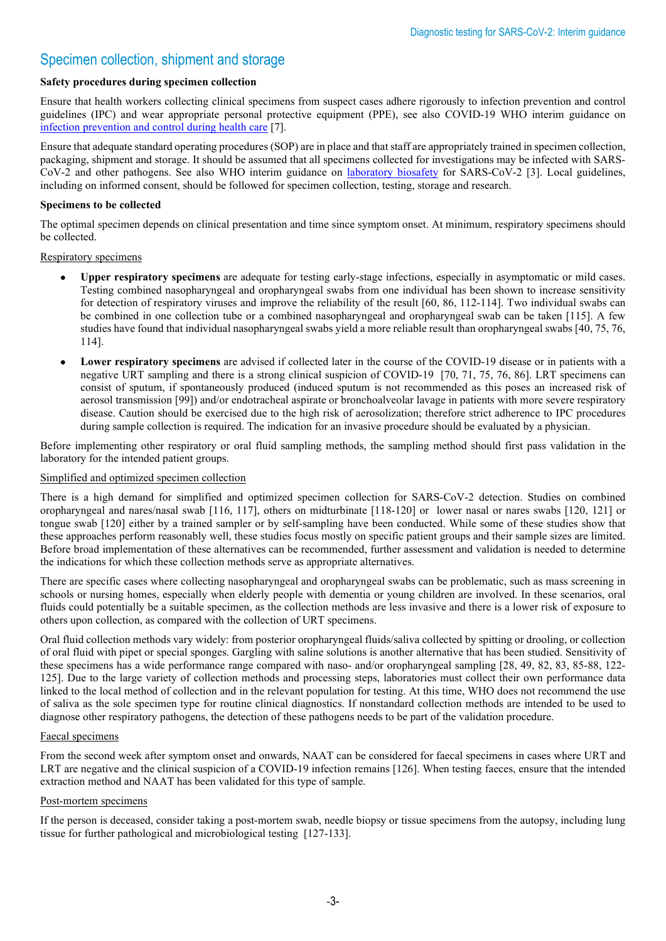# Specimen collection, shipment and storage

#### **Safety procedures during specimen collection**

Ensure that health workers collecting clinical specimens from suspect cases adhere rigorously to infection prevention and control guidelines (IPC) and wear appropriate personal protective equipment (PPE), see also COVID-19 WHO interim guidance on [infection prevention and control during health care](https://apps.who.int/iris/handle/10665/332879) [7].

Ensure that adequate standard operating procedures (SOP) are in place and that staff are appropriately trained in specimen collection, packaging, shipment and storage. It should be assumed that all specimens collected for investigations may be infected with SARS-CoV-2 and other pathogens. See also WHO interim guidance on [laboratory biosafety](https://apps.who.int/iris/handle/10665/332076) for SARS-CoV-2 [3]. Local guidelines, including on informed consent, should be followed for specimen collection, testing, storage and research.

#### **Specimens to be collected**

The optimal specimen depends on clinical presentation and time since symptom onset. At minimum, respiratory specimens should be collected.

Respiratory specimens

- **Upper respiratory specimens** are adequate for testing early-stage infections, especially in asymptomatic or mild cases. Testing combined nasopharyngeal and oropharyngeal swabs from one individual has been shown to increase sensitivity for detection of respiratory viruses and improve the reliability of the result [60, 86, 112-114]. Two individual swabs can be combined in one collection tube or a combined nasopharyngeal and oropharyngeal swab can be taken [115]. A few studies have found that individual nasopharyngeal swabs yield a more reliable result than oropharyngeal swabs [40, 75, 76, 114].
- **Lower respiratory specimens** are advised if collected later in the course of the COVID-19 disease or in patients with a negative URT sampling and there is a strong clinical suspicion of COVID-19 [70, 71, 75, 76, 86]. LRT specimens can consist of sputum, if spontaneously produced (induced sputum is not recommended as this poses an increased risk of aerosol transmission [99]) and/or endotracheal aspirate or bronchoalveolar lavage in patients with more severe respiratory disease. Caution should be exercised due to the high risk of aerosolization; therefore strict adherence to IPC procedures during sample collection is required. The indication for an invasive procedure should be evaluated by a physician.

Before implementing other respiratory or oral fluid sampling methods, the sampling method should first pass validation in the laboratory for the intended patient groups.

#### Simplified and optimized specimen collection

There is a high demand for simplified and optimized specimen collection for SARS-CoV-2 detection. Studies on combined oropharyngeal and nares/nasal swab [116, 117], others on midturbinate [118-120] or lower nasal or nares swabs [120, 121] or tongue swab [120] either by a trained sampler or by self-sampling have been conducted. While some of these studies show that these approaches perform reasonably well, these studies focus mostly on specific patient groups and their sample sizes are limited. Before broad implementation of these alternatives can be recommended, further assessment and validation is needed to determine the indications for which these collection methods serve as appropriate alternatives.

There are specific cases where collecting nasopharyngeal and oropharyngeal swabs can be problematic, such as mass screening in schools or nursing homes, especially when elderly people with dementia or young children are involved. In these scenarios, oral fluids could potentially be a suitable specimen, as the collection methods are less invasive and there is a lower risk of exposure to others upon collection, as compared with the collection of URT specimens.

Oral fluid collection methods vary widely: from posterior oropharyngeal fluids/saliva collected by spitting or drooling, or collection of oral fluid with pipet or special sponges. Gargling with saline solutions is another alternative that has been studied. Sensitivity of these specimens has a wide performance range compared with naso- and/or oropharyngeal sampling [28, 49, 82, 83, 85-88, 122- 125]. Due to the large variety of collection methods and processing steps, laboratories must collect their own performance data linked to the local method of collection and in the relevant population for testing. At this time, WHO does not recommend the use of saliva as the sole specimen type for routine clinical diagnostics. If nonstandard collection methods are intended to be used to diagnose other respiratory pathogens, the detection of these pathogens needs to be part of the validation procedure.

#### Faecal specimens

From the second week after symptom onset and onwards, NAAT can be considered for faecal specimens in cases where URT and LRT are negative and the clinical suspicion of a COVID-19 infection remains [126]. When testing faeces, ensure that the intended extraction method and NAAT has been validated for this type of sample.

#### Post-mortem specimens

If the person is deceased, consider taking a post-mortem swab, needle biopsy or tissue specimens from the autopsy, including lung tissue for further pathological and microbiological testing [127-133].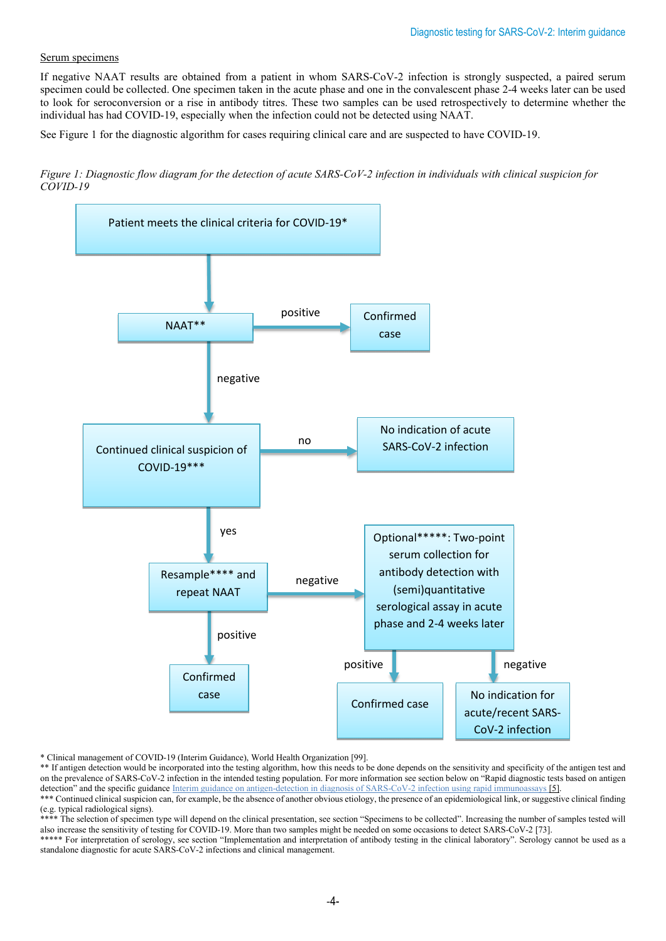#### Serum specimens

If negative NAAT results are obtained from a patient in whom SARS-CoV-2 infection is strongly suspected, a paired serum specimen could be collected. One specimen taken in the acute phase and one in the convalescent phase 2-4 weeks later can be used to look for seroconversion or a rise in antibody titres. These two samples can be used retrospectively to determine whether the individual has had COVID-19, especially when the infection could not be detected using NAAT.

See Figure 1 for the diagnostic algorithm for cases requiring clinical care and are suspected to have COVID-19.

*Figure 1: Diagnostic flow diagram for the detection of acute SARS-CoV-2 infection in individuals with clinical suspicion for COVID-19* 



\* Clinical management of COVID-19 (Interim Guidance), World Health Organization [99].

\*\* If antigen detection would be incorporated into the testing algorithm, how this needs to be done depends on the sensitivity and specificity of the antigen test and on the prevalence of SARS-CoV-2 infection in the intended testing population. For more information see section below on "Rapid diagnostic tests based on antigen detection" and the specific guidance Interim guidance on antigen-detection in diagnosis of SARS-CoV-2 infection using rapid immunoassays [5]. \*\*\* Continued clinical suspicion can, for example, be the absence of another obvious etiology, the presence of an epidemiological link, or suggestive clinical finding

\*\*\*\* The selection of specimen type will depend on the clinical presentation, see section "Specimens to be collected". Increasing the number of samples tested will also increase the sensitivity of testing for COVID-19. More than two samples might be needed on some occasions to detect SARS-CoV-2 [73]. \*\*\*\*\* For interpretation of serology, see section "Implementation and interpretation of antibody testing in the clinical laboratory". Serology cannot be used as a standalone diagnostic for acute SARS-CoV-2 infections and clinical management.

<sup>(</sup>e.g. typical radiological signs).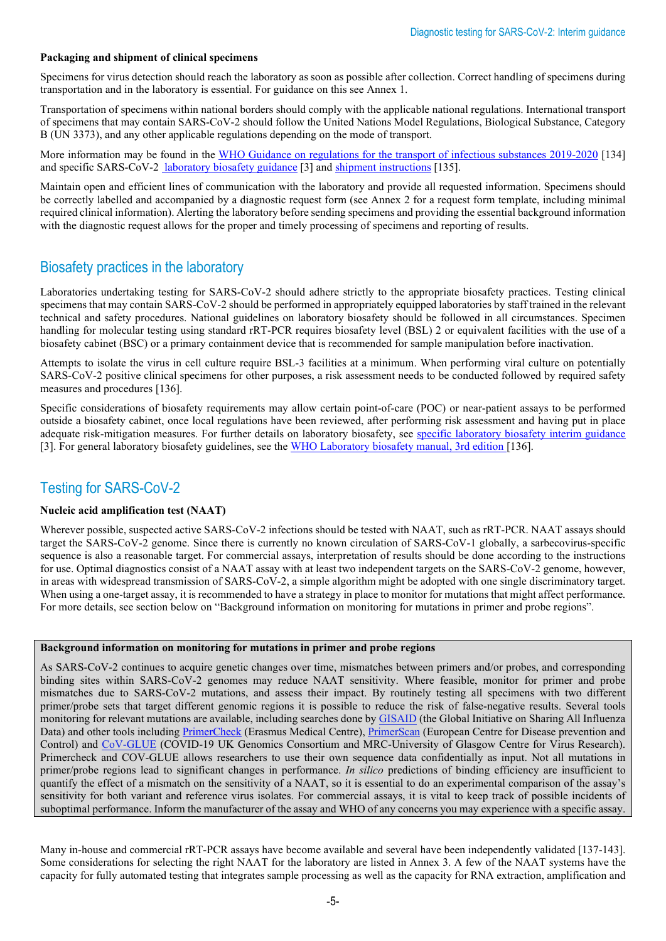#### **Packaging and shipment of clinical specimens**

Specimens for virus detection should reach the laboratory as soon as possible after collection. Correct handling of specimens during transportation and in the laboratory is essential. For guidance on this see Annex 1.

Transportation of specimens within national borders should comply with the applicable national regulations. International transport of specimens that may contain SARS-CoV-2 should follow the United Nations Model Regulations, Biological Substance, Category B (UN 3373), and any other applicable regulations depending on the mode of transport.

More information may be found in the [WHO Guidance on regulations for the transport of infectious substances](https://apps.who.int/iris/handle/10665/325884) 2019-2020 [134] and specific SARS-CoV-[2 laboratory biosafety guidance](https://apps.who.int/iris/handle/10665/332076) [3] an[d shipment instructions](https://apps.who.int/iris/handle/10665/331639) [135].

Maintain open and efficient lines of communication with the laboratory and provide all requested information. Specimens should be correctly labelled and accompanied by a diagnostic request form (see Annex 2 for a request form template, including minimal required clinical information). Alerting the laboratory before sending specimens and providing the essential background information with the diagnostic request allows for the proper and timely processing of specimens and reporting of results.

### Biosafety practices in the laboratory

Laboratories undertaking testing for SARS-CoV-2 should adhere strictly to the appropriate biosafety practices. Testing clinical specimens that may contain SARS-CoV-2 should be performed in appropriately equipped laboratories by staff trained in the relevant technical and safety procedures. National guidelines on laboratory biosafety should be followed in all circumstances. Specimen handling for molecular testing using standard rRT-PCR requires biosafety level (BSL) 2 or equivalent facilities with the use of a biosafety cabinet (BSC) or a primary containment device that is recommended for sample manipulation before inactivation.

Attempts to isolate the virus in cell culture require BSL-3 facilities at a minimum. When performing viral culture on potentially SARS-CoV-2 positive clinical specimens for other purposes, a risk assessment needs to be conducted followed by required safety measures and procedures [136].

Specific considerations of biosafety requirements may allow certain point-of-care (POC) or near-patient assays to be performed outside a biosafety cabinet, once local regulations have been reviewed, after performing risk assessment and having put in place adequate risk-mitigation measures. For further details on laboratory biosafety, see [specific laboratory biosafety interim guidance](https://apps.who.int/iris/handle/10665/332076) [3]. For general laboratory biosafety guidelines, see the [WHO Laboratory biosafety manual, 3rd edition](https://apps.who.int/iris/handle/10665/42981) [136].

# Testing for SARS-CoV-2

#### **Nucleic acid amplification test (NAAT)**

Wherever possible, suspected active SARS-CoV-2 infections should be tested with NAAT, such as rRT-PCR. NAAT assays should target the SARS-CoV-2 genome. Since there is currently no known circulation of SARS-CoV-1 globally, a sarbecovirus-specific sequence is also a reasonable target. For commercial assays, interpretation of results should be done according to the instructions for use. Optimal diagnostics consist of a NAAT assay with at least two independent targets on the SARS-CoV-2 genome, however, in areas with widespread transmission of SARS-CoV-2, a simple algorithm might be adopted with one single discriminatory target. When using a one-target assay, it is recommended to have a strategy in place to monitor for mutations that might affect performance. For more details, see section below on "Background information on monitoring for mutations in primer and probe regions".

#### **Background information on monitoring for mutations in primer and probe regions**

As SARS-CoV-2 continues to acquire genetic changes over time, mismatches between primers and/or probes, and corresponding binding sites within SARS-CoV-2 genomes may reduce NAAT sensitivity. Where feasible, monitor for primer and probe mismatches due to SARS-CoV-2 mutations, and assess their impact. By routinely testing all specimens with two different primer/probe sets that target different genomic regions it is possible to reduce the risk of false-negative results. Several tools monitoring for relevant mutations are available, including searches done b[y GISAID](https://www.gisaid.org/) (the Global Initiative on Sharing All Influenza Data) and other tools including [PrimerCheck](https://viroscience-emc.shinyapps.io/primer-check/) (Erasmus Medical Centre), [PrimerScan](https://primerscan.ecdc.europa.eu/?assay=Overview) (European Centre for Disease prevention and Control) and [CoV-GLUE](http://cov-glue.cvr.gla.ac.uk/) (COVID-19 UK Genomics Consortium and MRC-University of Glasgow Centre for Virus Research). Primercheck and COV-GLUE allows researchers to use their own sequence data confidentially as input. Not all mutations in primer/probe regions lead to significant changes in performance. *In silico* predictions of binding efficiency are insufficient to quantify the effect of a mismatch on the sensitivity of a NAAT, so it is essential to do an experimental comparison of the assay's sensitivity for both variant and reference virus isolates. For commercial assays, it is vital to keep track of possible incidents of suboptimal performance. Inform the manufacturer of the assay and WHO of any concerns you may experience with a specific assay.

Many in-house and commercial rRT-PCR assays have become available and several have been independently validated [137-143]. Some considerations for selecting the right NAAT for the laboratory are listed in Annex 3. A few of the NAAT systems have the capacity for fully automated testing that integrates sample processing as well as the capacity for RNA extraction, amplification and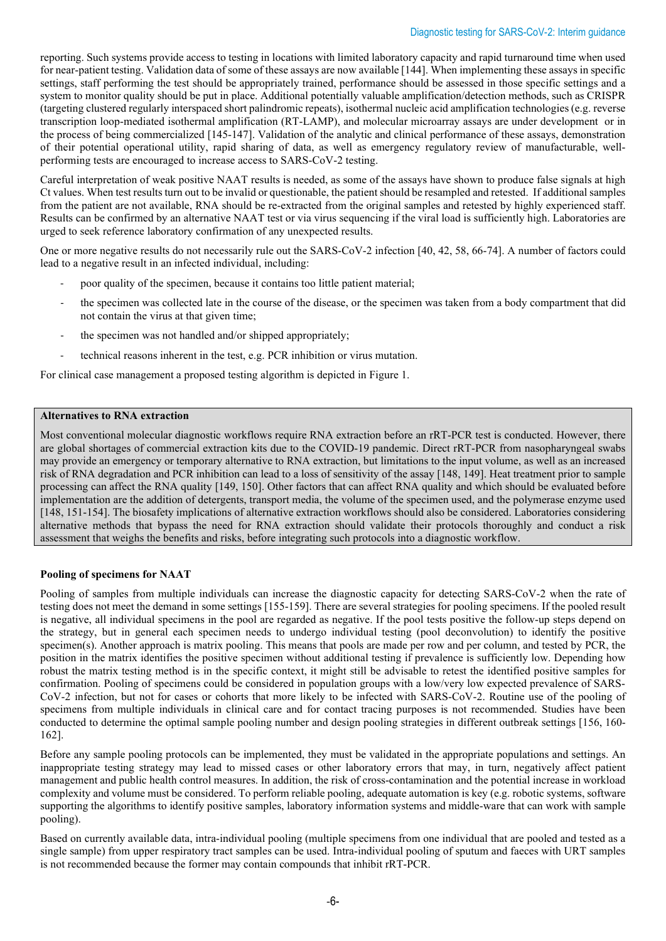reporting. Such systems provide access to testing in locations with limited laboratory capacity and rapid turnaround time when used for near-patient testing. Validation data of some of these assays are now available [144]. When implementing these assays in specific settings, staff performing the test should be appropriately trained, performance should be assessed in those specific settings and a system to monitor quality should be put in place. Additional potentially valuable amplification/detection methods, such as CRISPR (targeting clustered regularly interspaced short palindromic repeats), isothermal nucleic acid amplification technologies (e.g. reverse transcription loop-mediated isothermal amplification (RT-LAMP), and molecular microarray assays are under development or in the process of being commercialized [145-147]. Validation of the analytic and clinical performance of these assays, demonstration of their potential operational utility, rapid sharing of data, as well as emergency regulatory review of manufacturable, wellperforming tests are encouraged to increase access to SARS-CoV-2 testing.

Careful interpretation of weak positive NAAT results is needed, as some of the assays have shown to produce false signals at high Ct values. When test results turn out to be invalid or questionable, the patient should be resampled and retested. If additional samples from the patient are not available, RNA should be re-extracted from the original samples and retested by highly experienced staff. Results can be confirmed by an alternative NAAT test or via virus sequencing if the viral load is sufficiently high. Laboratories are urged to seek reference laboratory confirmation of any unexpected results.

One or more negative results do not necessarily rule out the SARS-CoV-2 infection [40, 42, 58, 66-74]. A number of factors could lead to a negative result in an infected individual, including:

- poor quality of the specimen, because it contains too little patient material;
- the specimen was collected late in the course of the disease, or the specimen was taken from a body compartment that did not contain the virus at that given time;
- the specimen was not handled and/or shipped appropriately;
- technical reasons inherent in the test, e.g. PCR inhibition or virus mutation.

For clinical case management a proposed testing algorithm is depicted in Figure 1.

#### **Alternatives to RNA extraction**

Most conventional molecular diagnostic workflows require RNA extraction before an rRT-PCR test is conducted. However, there are global shortages of commercial extraction kits due to the COVID-19 pandemic. Direct rRT-PCR from nasopharyngeal swabs may provide an emergency or temporary alternative to RNA extraction, but limitations to the input volume, as well as an increased risk of RNA degradation and PCR inhibition can lead to a loss of sensitivity of the assay [148, 149]. Heat treatment prior to sample processing can affect the RNA quality [149, 150]. Other factors that can affect RNA quality and which should be evaluated before implementation are the addition of detergents, transport media, the volume of the specimen used, and the polymerase enzyme used [148, 151-154]. The biosafety implications of alternative extraction workflows should also be considered. Laboratories considering alternative methods that bypass the need for RNA extraction should validate their protocols thoroughly and conduct a risk assessment that weighs the benefits and risks, before integrating such protocols into a diagnostic workflow.

#### **Pooling of specimens for NAAT**

Pooling of samples from multiple individuals can increase the diagnostic capacity for detecting SARS-CoV-2 when the rate of testing does not meet the demand in some settings [155-159]. There are several strategies for pooling specimens. If the pooled result is negative, all individual specimens in the pool are regarded as negative. If the pool tests positive the follow-up steps depend on the strategy, but in general each specimen needs to undergo individual testing (pool deconvolution) to identify the positive specimen(s). Another approach is matrix pooling. This means that pools are made per row and per column, and tested by PCR, the position in the matrix identifies the positive specimen without additional testing if prevalence is sufficiently low. Depending how robust the matrix testing method is in the specific context, it might still be advisable to retest the identified positive samples for confirmation. Pooling of specimens could be considered in population groups with a low/very low expected prevalence of SARS-CoV-2 infection, but not for cases or cohorts that more likely to be infected with SARS-CoV-2. Routine use of the pooling of specimens from multiple individuals in clinical care and for contact tracing purposes is not recommended. Studies have been conducted to determine the optimal sample pooling number and design pooling strategies in different outbreak settings [156, 160- 162].

Before any sample pooling protocols can be implemented, they must be validated in the appropriate populations and settings. An inappropriate testing strategy may lead to missed cases or other laboratory errors that may, in turn, negatively affect patient management and public health control measures. In addition, the risk of cross-contamination and the potential increase in workload complexity and volume must be considered. To perform reliable pooling, adequate automation is key (e.g. robotic systems, software supporting the algorithms to identify positive samples, laboratory information systems and middle-ware that can work with sample pooling).

Based on currently available data, intra-individual pooling (multiple specimens from one individual that are pooled and tested as a single sample) from upper respiratory tract samples can be used. Intra-individual pooling of sputum and faeces with URT samples is not recommended because the former may contain compounds that inhibit rRT-PCR.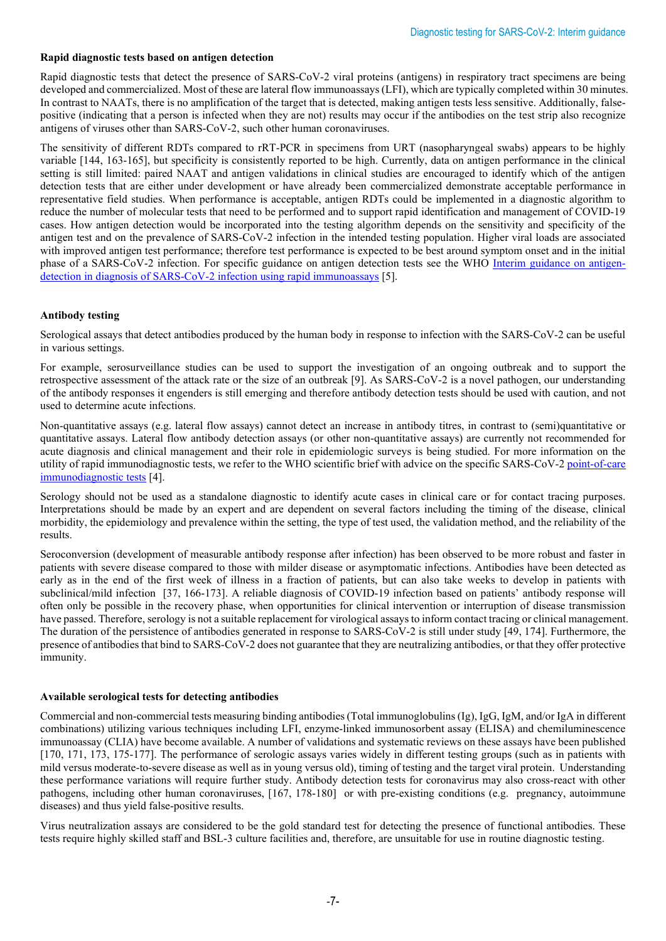#### **Rapid diagnostic tests based on antigen detection**

Rapid diagnostic tests that detect the presence of SARS-CoV-2 viral proteins (antigens) in respiratory tract specimens are being developed and commercialized. Most of these are lateral flow immunoassays (LFI), which are typically completed within 30 minutes. In contrast to NAATs, there is no amplification of the target that is detected, making antigen tests less sensitive. Additionally, falsepositive (indicating that a person is infected when they are not) results may occur if the antibodies on the test strip also recognize antigens of viruses other than SARS-CoV-2, such other human coronaviruses.

The sensitivity of different RDTs compared to rRT-PCR in specimens from URT (nasopharyngeal swabs) appears to be highly variable [144, 163-165], but specificity is consistently reported to be high. Currently, data on antigen performance in the clinical setting is still limited: paired NAAT and antigen validations in clinical studies are encouraged to identify which of the antigen detection tests that are either under development or have already been commercialized demonstrate acceptable performance in representative field studies. When performance is acceptable, antigen RDTs could be implemented in a diagnostic algorithm to reduce the number of molecular tests that need to be performed and to support rapid identification and management of COVID-19 cases. How antigen detection would be incorporated into the testing algorithm depends on the sensitivity and specificity of the antigen test and on the prevalence of SARS-CoV-2 infection in the intended testing population. Higher viral loads are associated with improved antigen test performance; therefore test performance is expected to be best around symptom onset and in the initial phase of a SARS-CoV-2 infection. For specific guidance on antigen detection tests see the WHO [Interim guidance on antigen](https://apps.who.int/iris/handle/10665/334253)[detection in diagnosis of SARS-CoV-2 infection using rapid immunoassays](https://apps.who.int/iris/handle/10665/334253) [5].

#### **Antibody testing**

Serological assays that detect antibodies produced by the human body in response to infection with the SARS-CoV-2 can be useful in various settings.

For example, serosurveillance studies can be used to support the investigation of an ongoing outbreak and to support the retrospective assessment of the attack rate or the size of an outbreak [9]. As SARS-CoV-2 is a novel pathogen, our understanding of the antibody responses it engenders is still emerging and therefore antibody detection tests should be used with caution, and not used to determine acute infections.

Non-quantitative assays (e.g. lateral flow assays) cannot detect an increase in antibody titres, in contrast to (semi)quantitative or quantitative assays. Lateral flow antibody detection assays (or other non-quantitative assays) are currently not recommended for acute diagnosis and clinical management and their role in epidemiologic surveys is being studied. For more information on the utility of rapid immunodiagnostic tests, we refer to the WHO scientific brief with advice on the specific SARS-CoV-2 [point-of-care](https://apps.who.int/iris/handle/10665/331713)  [immunodiagnostic tests](https://apps.who.int/iris/handle/10665/331713) [4].

Serology should not be used as a standalone diagnostic to identify acute cases in clinical care or for contact tracing purposes. Interpretations should be made by an expert and are dependent on several factors including the timing of the disease, clinical morbidity, the epidemiology and prevalence within the setting, the type of test used, the validation method, and the reliability of the results.

Seroconversion (development of measurable antibody response after infection) has been observed to be more robust and faster in patients with severe disease compared to those with milder disease or asymptomatic infections. Antibodies have been detected as early as in the end of the first week of illness in a fraction of patients, but can also take weeks to develop in patients with subclinical/mild infection [37, 166-173]. A reliable diagnosis of COVID-19 infection based on patients' antibody response will often only be possible in the recovery phase, when opportunities for clinical intervention or interruption of disease transmission have passed. Therefore, serology is not a suitable replacement for virological assays to inform contact tracing or clinical management. The duration of the persistence of antibodies generated in response to SARS-CoV-2 is still under study [49, 174]. Furthermore, the presence of antibodies that bind to SARS-CoV-2 does not guarantee that they are neutralizing antibodies, or that they offer protective immunity.

#### **Available serological tests for detecting antibodies**

Commercial and non-commercial tests measuring binding antibodies (Total immunoglobulins (Ig), IgG, IgM, and/or IgA in different combinations) utilizing various techniques including LFI, enzyme-linked immunosorbent assay (ELISA) and chemiluminescence immunoassay (CLIA) have become available. A number of validations and systematic reviews on these assays have been published [170, 171, 173, 175-177]. The performance of serologic assays varies widely in different testing groups (such as in patients with mild versus moderate-to-severe disease as well as in young versus old), timing of testing and the target viral protein. Understanding these performance variations will require further study. Antibody detection tests for coronavirus may also cross-react with other pathogens, including other human coronaviruses, [167, 178-180] or with pre-existing conditions (e.g. pregnancy, autoimmune diseases) and thus yield false-positive results.

Virus neutralization assays are considered to be the gold standard test for detecting the presence of functional antibodies. These tests require highly skilled staff and BSL-3 culture facilities and, therefore, are unsuitable for use in routine diagnostic testing.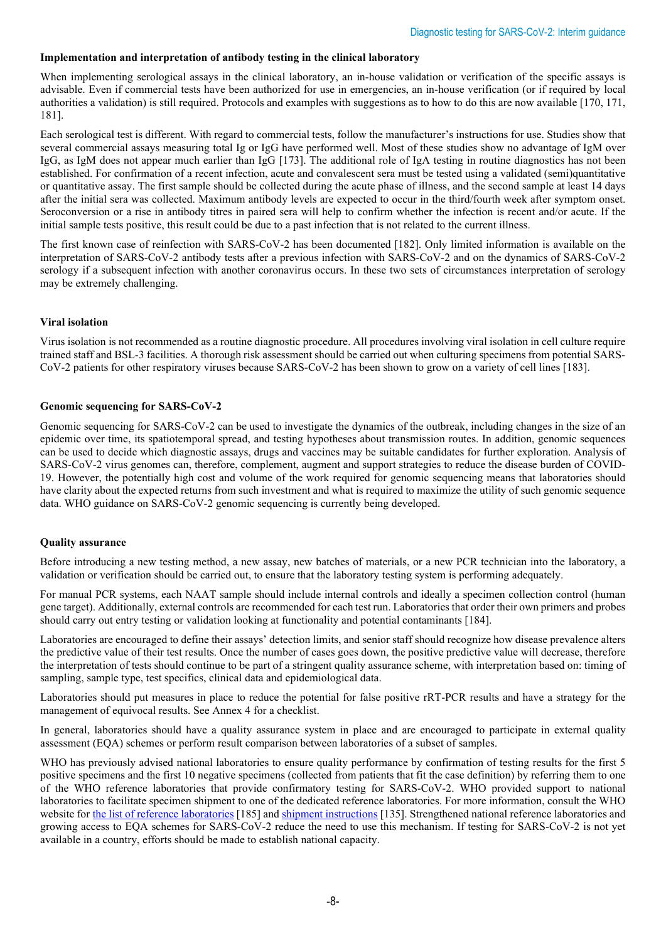#### **Implementation and interpretation of antibody testing in the clinical laboratory**

When implementing serological assays in the clinical laboratory, an in-house validation or verification of the specific assays is advisable. Even if commercial tests have been authorized for use in emergencies, an in-house verification (or if required by local authorities a validation) is still required. Protocols and examples with suggestions as to how to do this are now available [170, 171, 181].

Each serological test is different. With regard to commercial tests, follow the manufacturer's instructions for use. Studies show that several commercial assays measuring total Ig or IgG have performed well. Most of these studies show no advantage of IgM over IgG, as IgM does not appear much earlier than IgG [173]. The additional role of IgA testing in routine diagnostics has not been established. For confirmation of a recent infection, acute and convalescent sera must be tested using a validated (semi)quantitative or quantitative assay. The first sample should be collected during the acute phase of illness, and the second sample at least 14 days after the initial sera was collected. Maximum antibody levels are expected to occur in the third/fourth week after symptom onset. Seroconversion or a rise in antibody titres in paired sera will help to confirm whether the infection is recent and/or acute. If the initial sample tests positive, this result could be due to a past infection that is not related to the current illness.

The first known case of reinfection with SARS-CoV-2 has been documented [182]. Only limited information is available on the interpretation of SARS-CoV-2 antibody tests after a previous infection with SARS-CoV-2 and on the dynamics of SARS-CoV-2 serology if a subsequent infection with another coronavirus occurs. In these two sets of circumstances interpretation of serology may be extremely challenging.

#### **Viral isolation**

Virus isolation is not recommended as a routine diagnostic procedure. All procedures involving viral isolation in cell culture require trained staff and BSL-3 facilities. A thorough risk assessment should be carried out when culturing specimens from potential SARS-CoV-2 patients for other respiratory viruses because SARS-CoV-2 has been shown to grow on a variety of cell lines [183].

#### **Genomic sequencing for SARS-CoV-2**

Genomic sequencing for SARS-CoV-2 can be used to investigate the dynamics of the outbreak, including changes in the size of an epidemic over time, its spatiotemporal spread, and testing hypotheses about transmission routes. In addition, genomic sequences can be used to decide which diagnostic assays, drugs and vaccines may be suitable candidates for further exploration. Analysis of SARS-CoV-2 virus genomes can, therefore, complement, augment and support strategies to reduce the disease burden of COVID-19. However, the potentially high cost and volume of the work required for genomic sequencing means that laboratories should have clarity about the expected returns from such investment and what is required to maximize the utility of such genomic sequence data. WHO guidance on SARS-CoV-2 genomic sequencing is currently being developed.

#### **Quality assurance**

Before introducing a new testing method, a new assay, new batches of materials, or a new PCR technician into the laboratory, a validation or verification should be carried out, to ensure that the laboratory testing system is performing adequately.

For manual PCR systems, each NAAT sample should include internal controls and ideally a specimen collection control (human gene target). Additionally, external controls are recommended for each test run. Laboratories that order their own primers and probes should carry out entry testing or validation looking at functionality and potential contaminants [184].

Laboratories are encouraged to define their assays' detection limits, and senior staff should recognize how disease prevalence alters the predictive value of their test results. Once the number of cases goes down, the positive predictive value will decrease, therefore the interpretation of tests should continue to be part of a stringent quality assurance scheme, with interpretation based on: timing of sampling, sample type, test specifics, clinical data and epidemiological data.

Laboratories should put measures in place to reduce the potential for false positive rRT-PCR results and have a strategy for the management of equivocal results. See Annex 4 for a checklist.

In general, laboratories should have a quality assurance system in place and are encouraged to participate in external quality assessment (EQA) schemes or perform result comparison between laboratories of a subset of samples.

WHO has previously advised national laboratories to ensure quality performance by confirmation of testing results for the first 5 positive specimens and the first 10 negative specimens (collected from patients that fit the case definition) by referring them to one of the WHO reference laboratories that provide confirmatory testing for SARS-CoV-2. WHO provided support to national laboratories to facilitate specimen shipment to one of the dedicated reference laboratories. For more information, consult the WHO website for [the list of reference laboratories](https://www.who.int/publications/m/item/who-reference-laboratories-providing-confirmatory-testing-for-covid-19) [185] and [shipment instructions](https://apps.who.int/iris/handle/10665/331639) [135]. Strengthened national reference laboratories and growing access to EQA schemes for SARS-CoV-2 reduce the need to use this mechanism. If testing for SARS-CoV-2 is not yet available in a country, efforts should be made to establish national capacity.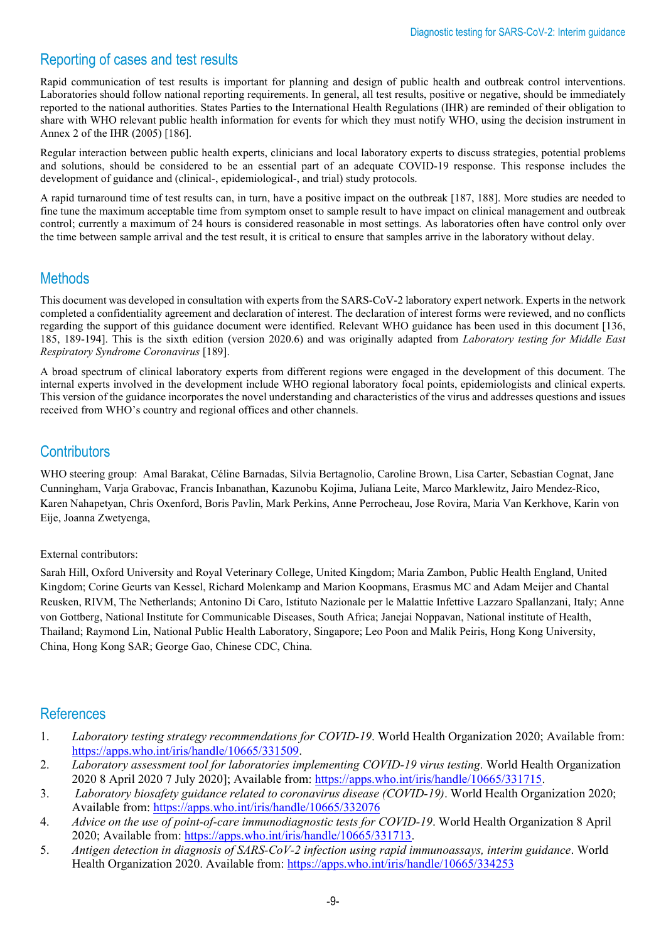# Reporting of cases and test results

Rapid communication of test results is important for planning and design of public health and outbreak control interventions. Laboratories should follow national reporting requirements. In general, all test results, positive or negative, should be immediately reported to the national authorities. States Parties to the International Health Regulations (IHR) are reminded of their obligation to share with WHO relevant public health information for events for which they must notify WHO, using the decision instrument in Annex 2 of the IHR (2005) [186].

Regular interaction between public health experts, clinicians and local laboratory experts to discuss strategies, potential problems and solutions, should be considered to be an essential part of an adequate COVID-19 response. This response includes the development of guidance and (clinical-, epidemiological-, and trial) study protocols.

A rapid turnaround time of test results can, in turn, have a positive impact on the outbreak [187, 188]. More studies are needed to fine tune the maximum acceptable time from symptom onset to sample result to have impact on clinical management and outbreak control; currently a maximum of 24 hours is considered reasonable in most settings. As laboratories often have control only over the time between sample arrival and the test result, it is critical to ensure that samples arrive in the laboratory without delay.

## Methods

This document was developed in consultation with experts from the SARS-CoV-2 laboratory expert network. Experts in the network completed a confidentiality agreement and declaration of interest. The declaration of interest forms were reviewed, and no conflicts regarding the support of this guidance document were identified. Relevant WHO guidance has been used in this document [136, 185, 189-194]. This is the sixth edition (version 2020.6) and was originally adapted from *Laboratory testing for Middle East Respiratory Syndrome Coronavirus* [189].

A broad spectrum of clinical laboratory experts from different regions were engaged in the development of this document. The internal experts involved in the development include WHO regional laboratory focal points, epidemiologists and clinical experts. This version of the guidance incorporates the novel understanding and characteristics of the virus and addresses questions and issues received from WHO's country and regional offices and other channels.

### **Contributors**

WHO steering group: Amal Barakat, Céline Barnadas, Silvia Bertagnolio, Caroline Brown, Lisa Carter, Sebastian Cognat, Jane Cunningham, Varja Grabovac, Francis Inbanathan, Kazunobu Kojima, Juliana Leite, Marco Marklewitz, Jairo Mendez-Rico, Karen Nahapetyan, Chris Oxenford, Boris Pavlin, Mark Perkins, Anne Perrocheau, Jose Rovira, Maria Van Kerkhove, Karin von Eije, Joanna Zwetyenga,

#### External contributors:

Sarah Hill, Oxford University and Royal Veterinary College, United Kingdom; Maria Zambon, Public Health England, United Kingdom; Corine Geurts van Kessel, Richard Molenkamp and Marion Koopmans, Erasmus MC and Adam Meijer and Chantal Reusken, RIVM, The Netherlands; Antonino Di Caro, [Istituto Nazionale per le Malattie Infettive Lazzaro Spallanzani,](https://moh-it.pure.elsevier.com/en/organisations/istituto-nazionale-per-le-malattie-infettive-lazzaro-spallanzani) Italy; Anne von Gottberg, National Institute for Communicable Diseases, South Africa; Janejai Noppavan, National institute of Health, Thailand; Raymond Lin, National Public Health Laboratory, Singapore; Leo Poon and Malik Peiris, Hong Kong University, China, Hong Kong SAR; George Gao, Chinese CDC, China.

### **References**

- 1. *Laboratory testing strategy recommendations for COVID-19*. World Health Organization 2020; Available from: [https://apps.who.int/iris/handle/10665/331509.](https://apps.who.int/iris/handle/10665/331509)
- 2. *Laboratory assessment tool for laboratories implementing COVID-19 virus testing*. World Health Organization 2020 8 April 2020 7 July 2020]; Available from: [https://apps.who.int/iris/handle/10665/331715.](https://apps.who.int/iris/handle/10665/331715)
- 3. *Laboratory biosafety guidance related to coronavirus disease (COVID-19)*. World Health Organization 2020; Available from:<https://apps.who.int/iris/handle/10665/332076>
- 4. *Advice on the use of point-of-care immunodiagnostic tests for COVID-19*. World Health Organization 8 April 2020; Available from: [https://apps.who.int/iris/handle/10665/331713.](https://apps.who.int/iris/handle/10665/331713)
- 5. *Antigen detection in diagnosis of SARS-CoV-2 infection using rapid immunoassays, interim guidance*. World Health Organization 2020. Available from: <https://apps.who.int/iris/handle/10665/334253>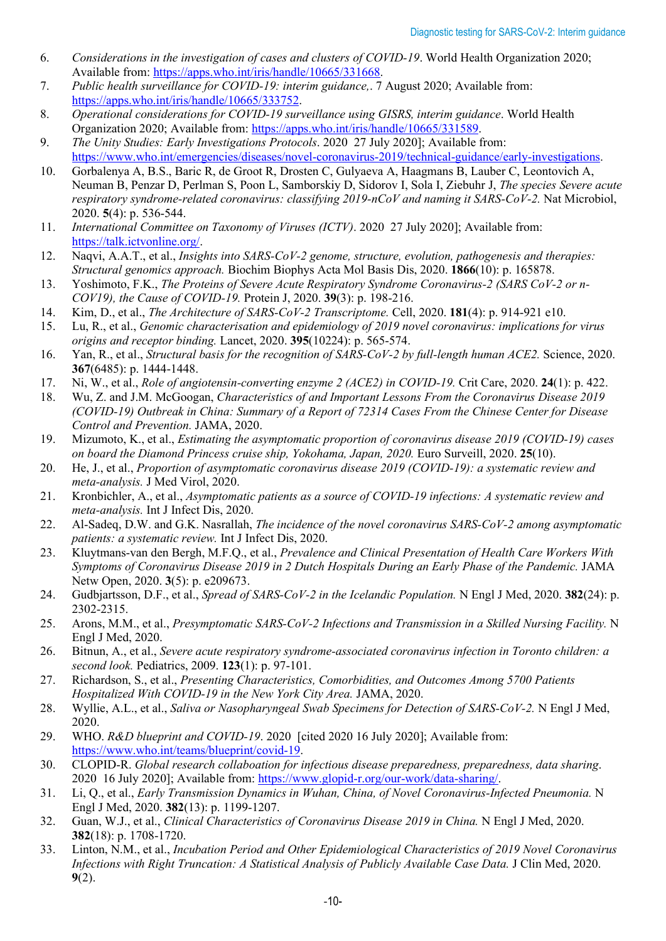- 6. *Considerations in the investigation of cases and clusters of COVID-19*. World Health Organization 2020; Available from: [https://apps.who.int/iris/handle/10665/331668.](https://apps.who.int/iris/handle/10665/331668)
- 7. *Public health surveillance for COVID-19: interim guidance,*. 7 August 2020; Available from: [https://apps.who.int/iris/handle/10665/333752.](https://apps.who.int/iris/handle/10665/333752)
- 8. *Operational considerations for COVID-19 surveillance using GISRS, interim guidance*. World Health Organization 2020; Available from: [https://apps.who.int/iris/handle/10665/331589.](https://apps.who.int/iris/handle/10665/331589)
- 9. *The Unity Studies: Early Investigations Protocols*. 2020 27 July 2020]; Available from: [https://www.who.int/emergencies/diseases/novel-coronavirus-2019/technical-guidance/early-investigations.](https://www.who.int/emergencies/diseases/novel-coronavirus-2019/technical-guidance/early-investigations)
- 10. Gorbalenya A, B.S., Baric R, de Groot R, Drosten C, Gulyaeva A, Haagmans B, Lauber C, Leontovich A, Neuman B, Penzar D, Perlman S, Poon L, Samborskiy D, Sidorov I, Sola I, Ziebuhr J, *The species Severe acute respiratory syndrome-related coronavirus: classifying 2019-nCoV and naming it SARS-CoV-2.* Nat Microbiol, 2020. **5**(4): p. 536-544.
- 11. *International Committee on Taxonomy of Viruses (ICTV)*. 2020 27 July 2020]; Available from: [https://talk.ictvonline.org/.](https://talk.ictvonline.org/)
- 12. Naqvi, A.A.T., et al., *Insights into SARS-CoV-2 genome, structure, evolution, pathogenesis and therapies: Structural genomics approach.* Biochim Biophys Acta Mol Basis Dis, 2020. **1866**(10): p. 165878.
- 13. Yoshimoto, F.K., *The Proteins of Severe Acute Respiratory Syndrome Coronavirus-2 (SARS CoV-2 or n-COV19), the Cause of COVID-19.* Protein J, 2020. **39**(3): p. 198-216.
- 14. Kim, D., et al., *The Architecture of SARS-CoV-2 Transcriptome.* Cell, 2020. **181**(4): p. 914-921 e10.
- 15. Lu, R., et al., *Genomic characterisation and epidemiology of 2019 novel coronavirus: implications for virus origins and receptor binding.* Lancet, 2020. **395**(10224): p. 565-574.
- 16. Yan, R., et al., *Structural basis for the recognition of SARS-CoV-2 by full-length human ACE2.* Science, 2020. **367**(6485): p. 1444-1448.
- 17. Ni, W., et al., *Role of angiotensin-converting enzyme 2 (ACE2) in COVID-19.* Crit Care, 2020. **24**(1): p. 422.
- 18. Wu, Z. and J.M. McGoogan, *Characteristics of and Important Lessons From the Coronavirus Disease 2019 (COVID-19) Outbreak in China: Summary of a Report of 72314 Cases From the Chinese Center for Disease Control and Prevention.* JAMA, 2020.
- 19. Mizumoto, K., et al., *Estimating the asymptomatic proportion of coronavirus disease 2019 (COVID-19) cases on board the Diamond Princess cruise ship, Yokohama, Japan, 2020.* Euro Surveill, 2020. **25**(10).
- 20. He, J., et al., *Proportion of asymptomatic coronavirus disease 2019 (COVID-19): a systematic review and meta-analysis.* J Med Virol, 2020.
- 21. Kronbichler, A., et al., *Asymptomatic patients as a source of COVID-19 infections: A systematic review and meta-analysis.* Int J Infect Dis, 2020.
- 22. Al-Sadeq, D.W. and G.K. Nasrallah, *The incidence of the novel coronavirus SARS-CoV-2 among asymptomatic patients: a systematic review.* Int J Infect Dis, 2020.
- 23. Kluytmans-van den Bergh, M.F.Q., et al., *Prevalence and Clinical Presentation of Health Care Workers With Symptoms of Coronavirus Disease 2019 in 2 Dutch Hospitals During an Early Phase of the Pandemic.* JAMA Netw Open, 2020. **3**(5): p. e209673.
- 24. Gudbjartsson, D.F., et al., *Spread of SARS-CoV-2 in the Icelandic Population.* N Engl J Med, 2020. **382**(24): p. 2302-2315.
- 25. Arons, M.M., et al., *Presymptomatic SARS-CoV-2 Infections and Transmission in a Skilled Nursing Facility.* N Engl J Med, 2020.
- 26. Bitnun, A., et al., *Severe acute respiratory syndrome-associated coronavirus infection in Toronto children: a second look.* Pediatrics, 2009. **123**(1): p. 97-101.
- 27. Richardson, S., et al., *Presenting Characteristics, Comorbidities, and Outcomes Among 5700 Patients Hospitalized With COVID-19 in the New York City Area.* JAMA, 2020.
- 28. Wyllie, A.L., et al., *Saliva or Nasopharyngeal Swab Specimens for Detection of SARS-CoV-2.* N Engl J Med, 2020.
- 29. WHO. *R&D blueprint and COVID-19*. 2020 [cited 2020 16 July 2020]; Available from: [https://www.who.int/teams/blueprint/covid-19.](https://www.who.int/teams/blueprint/covid-19)
- 30. CLOPID-R. *Global research collaboation for infectious disease preparedness, preparedness, data sharing*. 2020 16 July 2020]; Available from: [https://www.glopid-r.org/our-work/data-sharing/.](https://www.glopid-r.org/our-work/data-sharing/)
- 31. Li, Q., et al., *Early Transmission Dynamics in Wuhan, China, of Novel Coronavirus-Infected Pneumonia.* N Engl J Med, 2020. **382**(13): p. 1199-1207.
- 32. Guan, W.J., et al., *Clinical Characteristics of Coronavirus Disease 2019 in China.* N Engl J Med, 2020. **382**(18): p. 1708-1720.
- 33. Linton, N.M., et al., *Incubation Period and Other Epidemiological Characteristics of 2019 Novel Coronavirus Infections with Right Truncation: A Statistical Analysis of Publicly Available Case Data.* J Clin Med, 2020. **9**(2).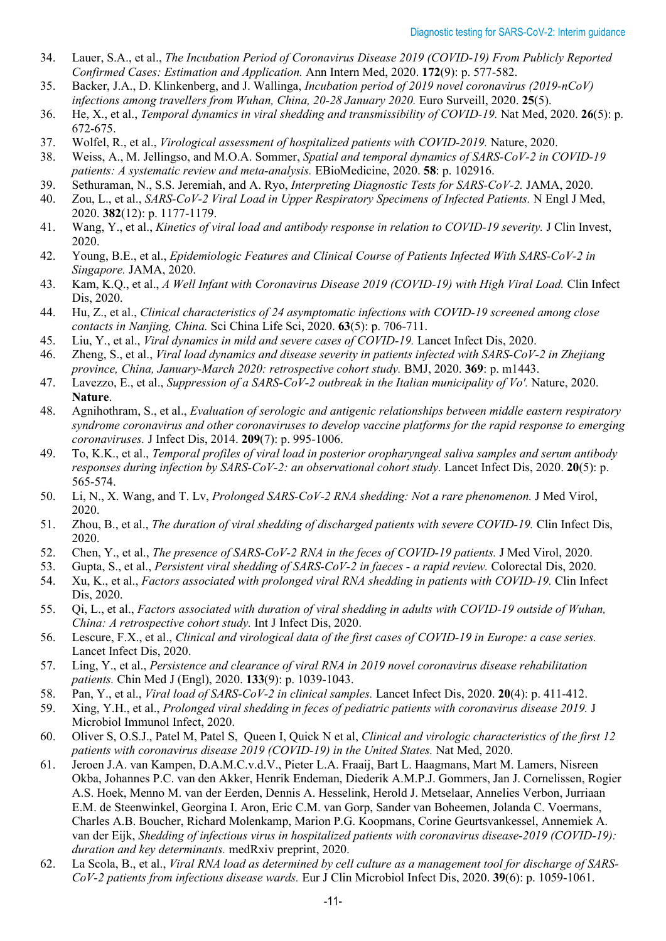- 34. Lauer, S.A., et al., *The Incubation Period of Coronavirus Disease 2019 (COVID-19) From Publicly Reported Confirmed Cases: Estimation and Application.* Ann Intern Med, 2020. **172**(9): p. 577-582.
- 35. Backer, J.A., D. Klinkenberg, and J. Wallinga, *Incubation period of 2019 novel coronavirus (2019-nCoV) infections among travellers from Wuhan, China, 20-28 January 2020.* Euro Surveill, 2020. **25**(5).
- 36. He, X., et al., *Temporal dynamics in viral shedding and transmissibility of COVID-19.* Nat Med, 2020. **26**(5): p. 672-675.
- 37. Wolfel, R., et al., *Virological assessment of hospitalized patients with COVID-2019.* Nature, 2020.
- 38. Weiss, A., M. Jellingso, and M.O.A. Sommer, *Spatial and temporal dynamics of SARS-CoV-2 in COVID-19 patients: A systematic review and meta-analysis.* EBioMedicine, 2020. **58**: p. 102916.
- 39. Sethuraman, N., S.S. Jeremiah, and A. Ryo, *Interpreting Diagnostic Tests for SARS-CoV-2.* JAMA, 2020.
- 40. Zou, L., et al., *SARS-CoV-2 Viral Load in Upper Respiratory Specimens of Infected Patients.* N Engl J Med, 2020. **382**(12): p. 1177-1179.
- 41. Wang, Y., et al., *Kinetics of viral load and antibody response in relation to COVID-19 severity.* J Clin Invest, 2020.
- 42. Young, B.E., et al., *Epidemiologic Features and Clinical Course of Patients Infected With SARS-CoV-2 in Singapore.* JAMA, 2020.
- 43. Kam, K.Q., et al., *A Well Infant with Coronavirus Disease 2019 (COVID-19) with High Viral Load.* Clin Infect Dis, 2020.
- 44. Hu, Z., et al., *Clinical characteristics of 24 asymptomatic infections with COVID-19 screened among close contacts in Nanjing, China.* Sci China Life Sci, 2020. **63**(5): p. 706-711.
- 45. Liu, Y., et al., *Viral dynamics in mild and severe cases of COVID-19.* Lancet Infect Dis, 2020.
- 46. Zheng, S., et al., *Viral load dynamics and disease severity in patients infected with SARS-CoV-2 in Zhejiang province, China, January-March 2020: retrospective cohort study.* BMJ, 2020. **369**: p. m1443.
- 47. Lavezzo, E., et al., *Suppression of a SARS-CoV-2 outbreak in the Italian municipality of Vo'.* Nature, 2020. **Nature**.
- 48. Agnihothram, S., et al., *Evaluation of serologic and antigenic relationships between middle eastern respiratory syndrome coronavirus and other coronaviruses to develop vaccine platforms for the rapid response to emerging coronaviruses.* J Infect Dis, 2014. **209**(7): p. 995-1006.
- 49. To, K.K., et al., *Temporal profiles of viral load in posterior oropharyngeal saliva samples and serum antibody responses during infection by SARS-CoV-2: an observational cohort study.* Lancet Infect Dis, 2020. **20**(5): p. 565-574.
- 50. Li, N., X. Wang, and T. Lv, *Prolonged SARS-CoV-2 RNA shedding: Not a rare phenomenon.* J Med Virol, 2020.
- 51. Zhou, B., et al., *The duration of viral shedding of discharged patients with severe COVID-19.* Clin Infect Dis, 2020.
- 52. Chen, Y., et al., *The presence of SARS-CoV-2 RNA in the feces of COVID-19 patients.* J Med Virol, 2020.
- 53. Gupta, S., et al., *Persistent viral shedding of SARS-CoV-2 in faeces - a rapid review.* Colorectal Dis, 2020.
- 54. Xu, K., et al., *Factors associated with prolonged viral RNA shedding in patients with COVID-19.* Clin Infect Dis, 2020.
- 55. Qi, L., et al., *Factors associated with duration of viral shedding in adults with COVID-19 outside of Wuhan, China: A retrospective cohort study.* Int J Infect Dis, 2020.
- 56. Lescure, F.X., et al., *Clinical and virological data of the first cases of COVID-19 in Europe: a case series.* Lancet Infect Dis, 2020.
- 57. Ling, Y., et al., *Persistence and clearance of viral RNA in 2019 novel coronavirus disease rehabilitation patients.* Chin Med J (Engl), 2020. **133**(9): p. 1039-1043.
- 58. Pan, Y., et al., *Viral load of SARS-CoV-2 in clinical samples.* Lancet Infect Dis, 2020. **20**(4): p. 411-412.
- 59. Xing, Y.H., et al., *Prolonged viral shedding in feces of pediatric patients with coronavirus disease 2019.* J Microbiol Immunol Infect, 2020.
- 60. Oliver S, O.S.J., Patel M, Patel S, Queen I, Quick N et al, *Clinical and virologic characteristics of the first 12 patients with coronavirus disease 2019 (COVID-19) in the United States.* Nat Med, 2020.
- 61. Jeroen J.A. van Kampen, D.A.M.C.v.d.V., Pieter L.A. Fraaij, Bart L. Haagmans, Mart M. Lamers, Nisreen Okba, Johannes P.C. van den Akker, Henrik Endeman, Diederik A.M.P.J. Gommers, Jan J. Cornelissen, Rogier A.S. Hoek, Menno M. van der Eerden, Dennis A. Hesselink, Herold J. Metselaar, Annelies Verbon, Jurriaan E.M. de Steenwinkel, Georgina I. Aron, Eric C.M. van Gorp, Sander van Boheemen, Jolanda C. Voermans, Charles A.B. Boucher, Richard Molenkamp, Marion P.G. Koopmans, Corine Geurtsvankessel, Annemiek A. van der Eijk, *Shedding of infectious virus in hospitalized patients with coronavirus disease-2019 (COVID-19): duration and key determinants.* medRxiv preprint, 2020.
- 62. La Scola, B., et al., *Viral RNA load as determined by cell culture as a management tool for discharge of SARS-CoV-2 patients from infectious disease wards.* Eur J Clin Microbiol Infect Dis, 2020. **39**(6): p. 1059-1061.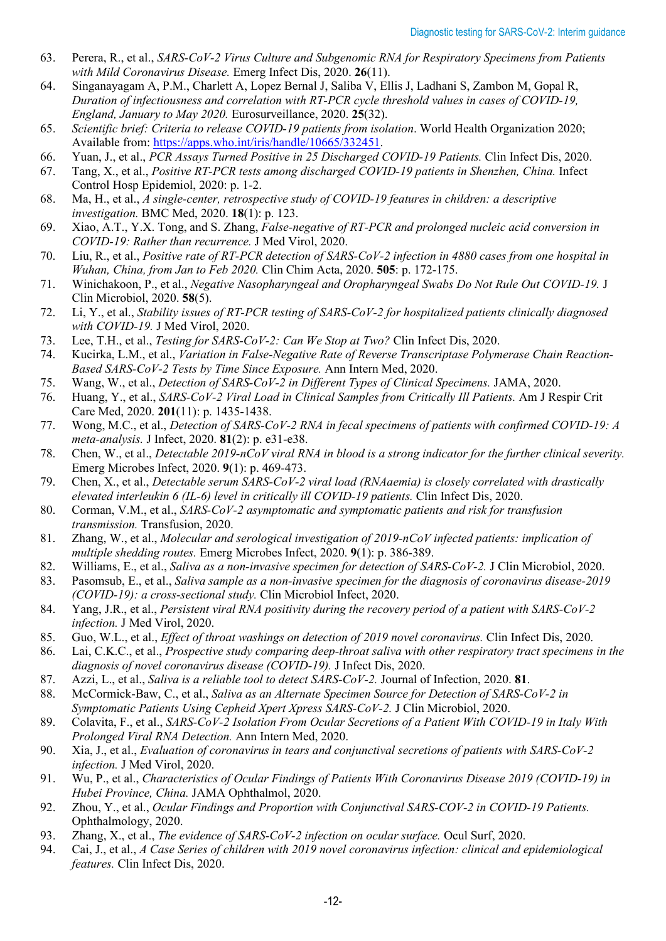- 63. Perera, R., et al., *SARS-CoV-2 Virus Culture and Subgenomic RNA for Respiratory Specimens from Patients with Mild Coronavirus Disease.* Emerg Infect Dis, 2020. **26**(11).
- 64. Singanayagam A, P.M., Charlett A, Lopez Bernal J, Saliba V, Ellis J, Ladhani S, Zambon M, Gopal R, *Duration of infectiousness and correlation with RT-PCR cycle threshold values in cases of COVID-19, England, January to May 2020.* Eurosurveillance, 2020. **25**(32).
- 65. *Scientific brief: Criteria to release COVID-19 patients from isolation*. World Health Organization 2020; Available from: [https://apps.who.int/iris/handle/10665/332451.](https://apps.who.int/iris/handle/10665/332451)
- 66. Yuan, J., et al., *PCR Assays Turned Positive in 25 Discharged COVID-19 Patients.* Clin Infect Dis, 2020.
- 67. Tang, X., et al., *Positive RT-PCR tests among discharged COVID-19 patients in Shenzhen, China.* Infect Control Hosp Epidemiol, 2020: p. 1-2.
- 68. Ma, H., et al., *A single-center, retrospective study of COVID-19 features in children: a descriptive investigation.* BMC Med, 2020. **18**(1): p. 123.
- 69. Xiao, A.T., Y.X. Tong, and S. Zhang, *False-negative of RT-PCR and prolonged nucleic acid conversion in COVID-19: Rather than recurrence.* J Med Virol, 2020.
- 70. Liu, R., et al., *Positive rate of RT-PCR detection of SARS-CoV-2 infection in 4880 cases from one hospital in Wuhan, China, from Jan to Feb 2020.* Clin Chim Acta, 2020. **505**: p. 172-175.
- 71. Winichakoon, P., et al., *Negative Nasopharyngeal and Oropharyngeal Swabs Do Not Rule Out COVID-19.* J Clin Microbiol, 2020. **58**(5).
- 72. Li, Y., et al., *Stability issues of RT-PCR testing of SARS-CoV-2 for hospitalized patients clinically diagnosed with COVID-19.* J Med Virol, 2020.
- 73. Lee, T.H., et al., *Testing for SARS-CoV-2: Can We Stop at Two?* Clin Infect Dis, 2020.
- 74. Kucirka, L.M., et al., *Variation in False-Negative Rate of Reverse Transcriptase Polymerase Chain Reaction-Based SARS-CoV-2 Tests by Time Since Exposure.* Ann Intern Med, 2020.
- 75. Wang, W., et al., *Detection of SARS-CoV-2 in Different Types of Clinical Specimens.* JAMA, 2020.
- 76. Huang, Y., et al., *SARS-CoV-2 Viral Load in Clinical Samples from Critically Ill Patients.* Am J Respir Crit Care Med, 2020. **201**(11): p. 1435-1438.
- 77. Wong, M.C., et al., *Detection of SARS-CoV-2 RNA in fecal specimens of patients with confirmed COVID-19: A meta-analysis.* J Infect, 2020. **81**(2): p. e31-e38.
- 78. Chen, W., et al., *Detectable 2019-nCoV viral RNA in blood is a strong indicator for the further clinical severity.* Emerg Microbes Infect, 2020. **9**(1): p. 469-473.
- 79. Chen, X., et al., *Detectable serum SARS-CoV-2 viral load (RNAaemia) is closely correlated with drastically elevated interleukin 6 (IL-6) level in critically ill COVID-19 patients.* Clin Infect Dis, 2020.
- 80. Corman, V.M., et al., *SARS-CoV-2 asymptomatic and symptomatic patients and risk for transfusion transmission.* Transfusion, 2020.
- 81. Zhang, W., et al., *Molecular and serological investigation of 2019-nCoV infected patients: implication of multiple shedding routes.* Emerg Microbes Infect, 2020. **9**(1): p. 386-389.
- 82. Williams, E., et al., *Saliva as a non-invasive specimen for detection of SARS-CoV-2.* J Clin Microbiol, 2020.
- 83. Pasomsub, E., et al., *Saliva sample as a non-invasive specimen for the diagnosis of coronavirus disease-2019 (COVID-19): a cross-sectional study.* Clin Microbiol Infect, 2020.
- 84. Yang, J.R., et al., *Persistent viral RNA positivity during the recovery period of a patient with SARS-CoV-2 infection.* J Med Virol, 2020.
- 85. Guo, W.L., et al., *Effect of throat washings on detection of 2019 novel coronavirus.* Clin Infect Dis, 2020.
- 86. Lai, C.K.C., et al., *Prospective study comparing deep-throat saliva with other respiratory tract specimens in the diagnosis of novel coronavirus disease (COVID-19).* J Infect Dis, 2020.
- 87. Azzi, L., et al., *Saliva is a reliable tool to detect SARS-CoV-2.* Journal of Infection, 2020. **81**.
- 88. McCormick-Baw, C., et al., *Saliva as an Alternate Specimen Source for Detection of SARS-CoV-2 in Symptomatic Patients Using Cepheid Xpert Xpress SARS-CoV-2.* J Clin Microbiol, 2020.
- 89. Colavita, F., et al., *SARS-CoV-2 Isolation From Ocular Secretions of a Patient With COVID-19 in Italy With Prolonged Viral RNA Detection.* Ann Intern Med, 2020.
- 90. Xia, J., et al., *Evaluation of coronavirus in tears and conjunctival secretions of patients with SARS-CoV-2 infection.* J Med Virol, 2020.
- 91. Wu, P., et al., *Characteristics of Ocular Findings of Patients With Coronavirus Disease 2019 (COVID-19) in Hubei Province, China.* JAMA Ophthalmol, 2020.
- 92. Zhou, Y., et al., *Ocular Findings and Proportion with Conjunctival SARS-COV-2 in COVID-19 Patients.* Ophthalmology, 2020.
- 93. Zhang, X., et al., *The evidence of SARS-CoV-2 infection on ocular surface.* Ocul Surf, 2020.
- 94. Cai, J., et al., *A Case Series of children with 2019 novel coronavirus infection: clinical and epidemiological features.* Clin Infect Dis, 2020.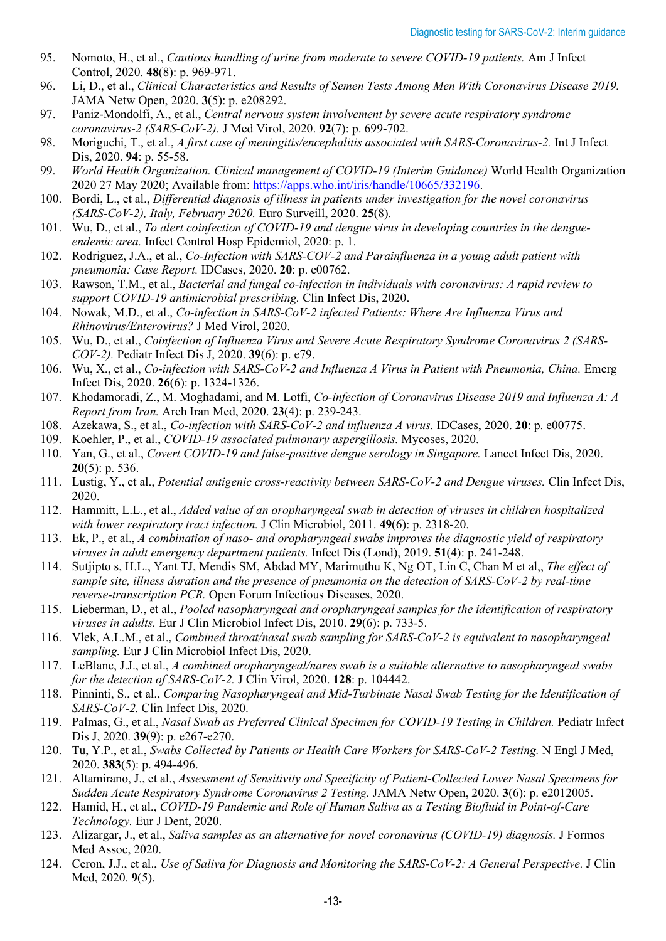- 95. Nomoto, H., et al., *Cautious handling of urine from moderate to severe COVID-19 patients.* Am J Infect Control, 2020. **48**(8): p. 969-971.
- 96. Li, D., et al., *Clinical Characteristics and Results of Semen Tests Among Men With Coronavirus Disease 2019.* JAMA Netw Open, 2020. **3**(5): p. e208292.
- 97. Paniz-Mondolfi, A., et al., *Central nervous system involvement by severe acute respiratory syndrome coronavirus-2 (SARS-CoV-2).* J Med Virol, 2020. **92**(7): p. 699-702.
- 98. Moriguchi, T., et al., *A first case of meningitis/encephalitis associated with SARS-Coronavirus-2.* Int J Infect Dis, 2020. **94**: p. 55-58.
- 99. *World Health Organization. Clinical management of COVID-19 (Interim Guidance)* World Health Organization 2020 27 May 2020; Available from: [https://apps.who.int/iris/handle/10665/332196.](https://apps.who.int/iris/handle/10665/332196)
- 100. Bordi, L., et al., *Differential diagnosis of illness in patients under investigation for the novel coronavirus (SARS-CoV-2), Italy, February 2020.* Euro Surveill, 2020. **25**(8).
- 101. Wu, D., et al., *To alert coinfection of COVID-19 and dengue virus in developing countries in the dengueendemic area.* Infect Control Hosp Epidemiol, 2020: p. 1.
- 102. Rodriguez, J.A., et al., *Co-Infection with SARS-COV-2 and Parainfluenza in a young adult patient with pneumonia: Case Report.* IDCases, 2020. **20**: p. e00762.
- 103. Rawson, T.M., et al., *Bacterial and fungal co-infection in individuals with coronavirus: A rapid review to support COVID-19 antimicrobial prescribing.* Clin Infect Dis, 2020.
- 104. Nowak, M.D., et al., *Co-infection in SARS-CoV-2 infected Patients: Where Are Influenza Virus and Rhinovirus/Enterovirus?* J Med Virol, 2020.
- 105. Wu, D., et al., *Coinfection of Influenza Virus and Severe Acute Respiratory Syndrome Coronavirus 2 (SARS-COV-2).* Pediatr Infect Dis J, 2020. **39**(6): p. e79.
- 106. Wu, X., et al., *Co-infection with SARS-CoV-2 and Influenza A Virus in Patient with Pneumonia, China.* Emerg Infect Dis, 2020. **26**(6): p. 1324-1326.
- 107. Khodamoradi, Z., M. Moghadami, and M. Lotfi, *Co-infection of Coronavirus Disease 2019 and Influenza A: A Report from Iran.* Arch Iran Med, 2020. **23**(4): p. 239-243.
- 108. Azekawa, S., et al., *Co-infection with SARS-CoV-2 and influenza A virus.* IDCases, 2020. **20**: p. e00775.
- 109. Koehler, P., et al., *COVID-19 associated pulmonary aspergillosis.* Mycoses, 2020.
- 110. Yan, G., et al., *Covert COVID-19 and false-positive dengue serology in Singapore.* Lancet Infect Dis, 2020. **20**(5): p. 536.
- 111. Lustig, Y., et al., *Potential antigenic cross-reactivity between SARS-CoV-2 and Dengue viruses.* Clin Infect Dis, 2020.
- 112. Hammitt, L.L., et al., *Added value of an oropharyngeal swab in detection of viruses in children hospitalized with lower respiratory tract infection.* J Clin Microbiol, 2011. **49**(6): p. 2318-20.
- 113. Ek, P., et al., *A combination of naso- and oropharyngeal swabs improves the diagnostic yield of respiratory viruses in adult emergency department patients.* Infect Dis (Lond), 2019. **51**(4): p. 241-248.
- 114. Sutjipto s, H.L., Yant TJ, Mendis SM, Abdad MY, Marimuthu K, Ng OT, Lin C, Chan M et al,, *The effect of sample site, illness duration and the presence of pneumonia on the detection of SARS-CoV-2 by real-time reverse-transcription PCR.* Open Forum Infectious Diseases, 2020.
- 115. Lieberman, D., et al., *Pooled nasopharyngeal and oropharyngeal samples for the identification of respiratory viruses in adults.* Eur J Clin Microbiol Infect Dis, 2010. **29**(6): p. 733-5.
- 116. Vlek, A.L.M., et al., *Combined throat/nasal swab sampling for SARS-CoV-2 is equivalent to nasopharyngeal sampling.* Eur J Clin Microbiol Infect Dis, 2020.
- 117. LeBlanc, J.J., et al., *A combined oropharyngeal/nares swab is a suitable alternative to nasopharyngeal swabs for the detection of SARS-CoV-2.* J Clin Virol, 2020. **128**: p. 104442.
- 118. Pinninti, S., et al., *Comparing Nasopharyngeal and Mid-Turbinate Nasal Swab Testing for the Identification of SARS-CoV-2.* Clin Infect Dis, 2020.
- 119. Palmas, G., et al., *Nasal Swab as Preferred Clinical Specimen for COVID-19 Testing in Children.* Pediatr Infect Dis J, 2020. **39**(9): p. e267-e270.
- 120. Tu, Y.P., et al., *Swabs Collected by Patients or Health Care Workers for SARS-CoV-2 Testing.* N Engl J Med, 2020. **383**(5): p. 494-496.
- 121. Altamirano, J., et al., *Assessment of Sensitivity and Specificity of Patient-Collected Lower Nasal Specimens for Sudden Acute Respiratory Syndrome Coronavirus 2 Testing.* JAMA Netw Open, 2020. **3**(6): p. e2012005.
- 122. Hamid, H., et al., *COVID-19 Pandemic and Role of Human Saliva as a Testing Biofluid in Point-of-Care Technology.* Eur J Dent, 2020.
- 123. Alizargar, J., et al., *Saliva samples as an alternative for novel coronavirus (COVID-19) diagnosis.* J Formos Med Assoc, 2020.
- 124. Ceron, J.J., et al., *Use of Saliva for Diagnosis and Monitoring the SARS-CoV-2: A General Perspective.* J Clin Med, 2020. **9**(5).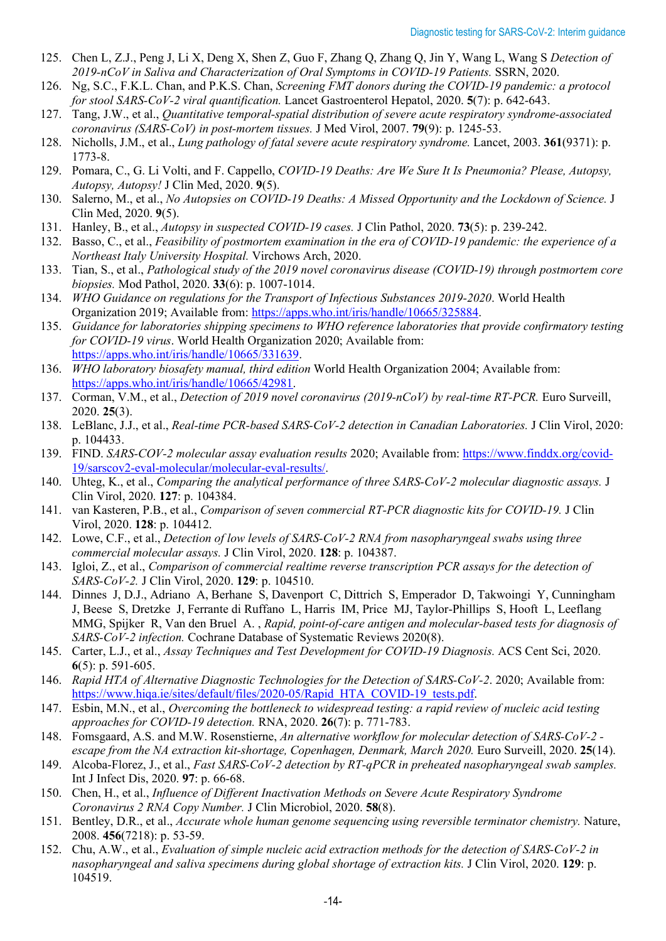- 125. Chen L, Z.J., Peng J, Li X, Deng X, Shen Z, Guo F, Zhang Q, Zhang Q, Jin Y, Wang L, Wang S *Detection of 2019-nCoV in Saliva and Characterization of Oral Symptoms in COVID-19 Patients.* SSRN, 2020.
- 126. Ng, S.C., F.K.L. Chan, and P.K.S. Chan, *Screening FMT donors during the COVID-19 pandemic: a protocol for stool SARS-CoV-2 viral quantification.* Lancet Gastroenterol Hepatol, 2020. **5**(7): p. 642-643.
- 127. Tang, J.W., et al., *Quantitative temporal-spatial distribution of severe acute respiratory syndrome-associated coronavirus (SARS-CoV) in post-mortem tissues.* J Med Virol, 2007. **79**(9): p. 1245-53.
- 128. Nicholls, J.M., et al., *Lung pathology of fatal severe acute respiratory syndrome.* Lancet, 2003. **361**(9371): p. 1773-8.
- 129. Pomara, C., G. Li Volti, and F. Cappello, *COVID-19 Deaths: Are We Sure It Is Pneumonia? Please, Autopsy, Autopsy, Autopsy!* J Clin Med, 2020. **9**(5).
- 130. Salerno, M., et al., *No Autopsies on COVID-19 Deaths: A Missed Opportunity and the Lockdown of Science.* J Clin Med, 2020. **9**(5).
- 131. Hanley, B., et al., *Autopsy in suspected COVID-19 cases.* J Clin Pathol, 2020. **73**(5): p. 239-242.
- 132. Basso, C., et al., *Feasibility of postmortem examination in the era of COVID-19 pandemic: the experience of a Northeast Italy University Hospital.* Virchows Arch, 2020.
- 133. Tian, S., et al., *Pathological study of the 2019 novel coronavirus disease (COVID-19) through postmortem core biopsies.* Mod Pathol, 2020. **33**(6): p. 1007-1014.
- 134. *WHO Guidance on regulations for the Transport of Infectious Substances 2019-2020*. World Health Organization 2019; Available from: [https://apps.who.int/iris/handle/10665/325884.](https://apps.who.int/iris/handle/10665/325884)
- 135. *Guidance for laboratories shipping specimens to WHO reference laboratories that provide confirmatory testing for COVID-19 virus*. World Health Organization 2020; Available from: [https://apps.who.int/iris/handle/10665/331639.](https://apps.who.int/iris/handle/10665/331639)
- 136. *WHO laboratory biosafety manual, third edition* World Health Organization 2004; Available from: [https://apps.who.int/iris/handle/10665/42981.](https://apps.who.int/iris/handle/10665/42981)
- 137. Corman, V.M., et al., *Detection of 2019 novel coronavirus (2019-nCoV) by real-time RT-PCR.* Euro Surveill, 2020. **25**(3).
- 138. LeBlanc, J.J., et al., *Real-time PCR-based SARS-CoV-2 detection in Canadian Laboratories.* J Clin Virol, 2020: p. 104433.
- 139. FIND. *SARS-COV-2 molecular assay evaluation results* 2020; Available from: [https://www.finddx.org/covid-](https://www.finddx.org/covid-19/sarscov2-eval-molecular/molecular-eval-results/)[19/sarscov2-eval-molecular/molecular-eval-results/.](https://www.finddx.org/covid-19/sarscov2-eval-molecular/molecular-eval-results/)
- 140. Uhteg, K., et al., *Comparing the analytical performance of three SARS-CoV-2 molecular diagnostic assays.* J Clin Virol, 2020. **127**: p. 104384.
- 141. van Kasteren, P.B., et al., *Comparison of seven commercial RT-PCR diagnostic kits for COVID-19.* J Clin Virol, 2020. **128**: p. 104412.
- 142. Lowe, C.F., et al., *Detection of low levels of SARS-CoV-2 RNA from nasopharyngeal swabs using three commercial molecular assays.* J Clin Virol, 2020. **128**: p. 104387.
- 143. Igloi, Z., et al., *Comparison of commercial realtime reverse transcription PCR assays for the detection of SARS-CoV-2.* J Clin Virol, 2020. **129**: p. 104510.
- 144. Dinnes J, D.J., Adriano A, Berhane S, Davenport C, Dittrich S, Emperador D, Takwoingi Y, Cunningham J, Beese S, Dretzke J, Ferrante di Ruffano L, Harris IM, Price MJ, Taylor-Phillips S, Hooft L, Leeflang MMG, Spijker R, Van den Bruel A. , *Rapid, point‐of‐care antigen and molecular‐based tests for diagnosis of SARS‐CoV‐2 infection.* Cochrane Database of Systematic Reviews 2020(8).
- 145. Carter, L.J., et al., *Assay Techniques and Test Development for COVID-19 Diagnosis.* ACS Cent Sci, 2020. **6**(5): p. 591-605.
- 146. *Rapid HTA of Alternative Diagnostic Technologies for the Detection of SARS-CoV-2*. 2020; Available from: [https://www.hiqa.ie/sites/default/files/2020-05/Rapid\\_HTA\\_COVID-19\\_tests.pdf.](https://www.hiqa.ie/sites/default/files/2020-05/Rapid_HTA_COVID-19_tests.pdf)
- 147. Esbin, M.N., et al., *Overcoming the bottleneck to widespread testing: a rapid review of nucleic acid testing approaches for COVID-19 detection.* RNA, 2020. **26**(7): p. 771-783.
- 148. Fomsgaard, A.S. and M.W. Rosenstierne, *An alternative workflow for molecular detection of SARS-CoV-2 escape from the NA extraction kit-shortage, Copenhagen, Denmark, March 2020.* Euro Surveill, 2020. **25**(14).
- 149. Alcoba-Florez, J., et al., *Fast SARS-CoV-2 detection by RT-qPCR in preheated nasopharyngeal swab samples.* Int J Infect Dis, 2020. **97**: p. 66-68.
- 150. Chen, H., et al., *Influence of Different Inactivation Methods on Severe Acute Respiratory Syndrome Coronavirus 2 RNA Copy Number.* J Clin Microbiol, 2020. **58**(8).
- 151. Bentley, D.R., et al., *Accurate whole human genome sequencing using reversible terminator chemistry.* Nature, 2008. **456**(7218): p. 53-59.
- 152. Chu, A.W., et al., *Evaluation of simple nucleic acid extraction methods for the detection of SARS-CoV-2 in nasopharyngeal and saliva specimens during global shortage of extraction kits.* J Clin Virol, 2020. **129**: p. 104519.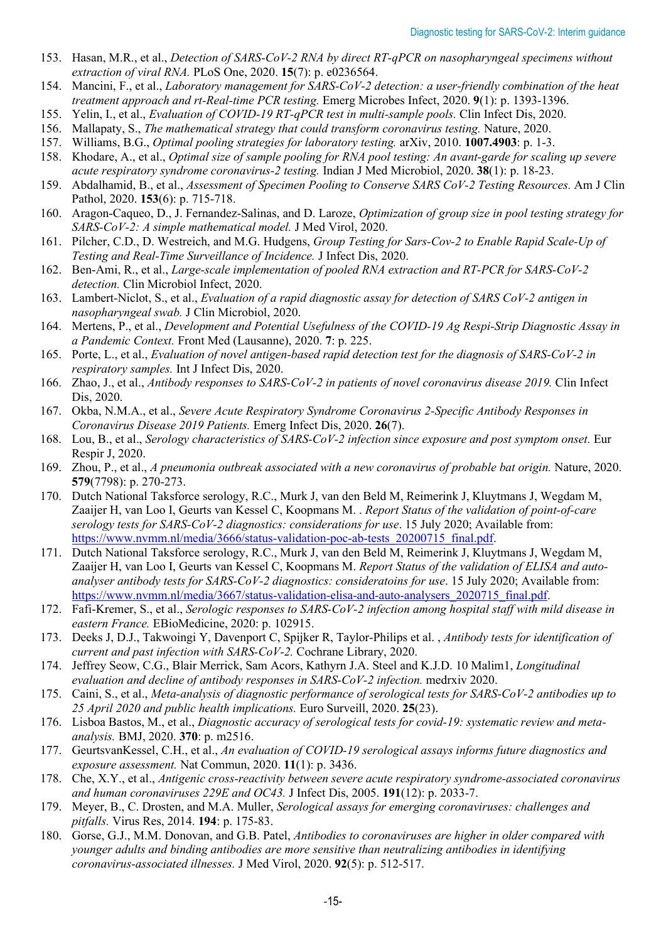- 153. Hasan, M.R., et al., *Detection of SARS-CoV-2 RNA by direct RT-qPCR on nasopharyngeal specimens without extraction of viral RNA.* PLoS One, 2020. **15**(7): p. e0236564.
- 154. Mancini, F., et al., *Laboratory management for SARS-CoV-2 detection: a user-friendly combination of the heat treatment approach and rt-Real-time PCR testing.* Emerg Microbes Infect, 2020. **9**(1): p. 1393-1396.
- 155. Yelin, I., et al., *Evaluation of COVID-19 RT-qPCR test in multi-sample pools.* Clin Infect Dis, 2020.
- 156. Mallapaty, S., *The mathematical strategy that could transform coronavirus testing.* Nature, 2020.
- 157. Williams, B.G., *Optimal pooling strategies for laboratory testing.* arXiv, 2010. **1007.4903**: p. 1-3.
- 158. Khodare, A., et al., *Optimal size of sample pooling for RNA pool testing: An avant-garde for scaling up severe acute respiratory syndrome coronavirus-2 testing.* Indian J Med Microbiol, 2020. **38**(1): p. 18-23.
- 159. Abdalhamid, B., et al., *Assessment of Specimen Pooling to Conserve SARS CoV-2 Testing Resources.* Am J Clin Pathol, 2020. **153**(6): p. 715-718.
- 160. Aragon-Caqueo, D., J. Fernandez-Salinas, and D. Laroze, *Optimization of group size in pool testing strategy for SARS-CoV-2: A simple mathematical model.* J Med Virol, 2020.
- 161. Pilcher, C.D., D. Westreich, and M.G. Hudgens, *Group Testing for Sars-Cov-2 to Enable Rapid Scale-Up of Testing and Real-Time Surveillance of Incidence.* J Infect Dis, 2020.
- 162. Ben-Ami, R., et al., *Large-scale implementation of pooled RNA extraction and RT-PCR for SARS-CoV-2 detection.* Clin Microbiol Infect, 2020.
- 163. Lambert-Niclot, S., et al., *Evaluation of a rapid diagnostic assay for detection of SARS CoV-2 antigen in nasopharyngeal swab.* J Clin Microbiol, 2020.
- 164. Mertens, P., et al., *Development and Potential Usefulness of the COVID-19 Ag Respi-Strip Diagnostic Assay in a Pandemic Context.* Front Med (Lausanne), 2020. **7**: p. 225.
- 165. Porte, L., et al., *Evaluation of novel antigen-based rapid detection test for the diagnosis of SARS-CoV-2 in respiratory samples.* Int J Infect Dis, 2020.
- 166. Zhao, J., et al., *Antibody responses to SARS-CoV-2 in patients of novel coronavirus disease 2019.* Clin Infect Dis, 2020.
- 167. Okba, N.M.A., et al., *Severe Acute Respiratory Syndrome Coronavirus 2-Specific Antibody Responses in Coronavirus Disease 2019 Patients.* Emerg Infect Dis, 2020. **26**(7).
- 168. Lou, B., et al., *Serology characteristics of SARS-CoV-2 infection since exposure and post symptom onset.* Eur Respir J, 2020.
- 169. Zhou, P., et al., *A pneumonia outbreak associated with a new coronavirus of probable bat origin.* Nature, 2020. **579**(7798): p. 270-273.
- 170. Dutch National Taksforce serology, R.C., Murk J, van den Beld M, Reimerink J, Kluytmans J, Wegdam M, Zaaijer H, van Loo I, Geurts van Kessel C, Koopmans M. . *Report Status of the validation of point-of-care serology tests for SARS-CoV-2 diagnostics: considerations for use*. 15 July 2020; Available from: [https://www.nvmm.nl/media/3666/status-validation-poc-ab-tests\\_20200715\\_final.pdf.](https://www.nvmm.nl/media/3666/status-validation-poc-ab-tests_20200715_final.pdf)
- 171. Dutch National Taksforce serology, R.C., Murk J, van den Beld M, Reimerink J, Kluytmans J, Wegdam M, Zaaijer H, van Loo I, Geurts van Kessel C, Koopmans M. *Report Status of the validation of ELISA and autoanalyser antibody tests for SARS-CoV-2 diagnostics: consideratoins for use*. 15 July 2020; Available from: [https://www.nvmm.nl/media/3667/status-validation-elisa-and-auto-analysers\\_2020715\\_final.pdf.](https://www.nvmm.nl/media/3667/status-validation-elisa-and-auto-analysers_2020715_final.pdf)
- 172. Fafi-Kremer, S., et al., *Serologic responses to SARS-CoV-2 infection among hospital staff with mild disease in eastern France.* EBioMedicine, 2020: p. 102915.
- 173. Deeks J, D.J., Takwoingi Y, Davenport C, Spijker R, Taylor-Philips et al. , *Antibody tests for identification of current and past infection with SARS-CoV-2.* Cochrane Library, 2020.
- 174. Jeffrey Seow, C.G., Blair Merrick, Sam Acors, Kathyrn J.A. Steel and K.J.D. 10 Malim1, *Longitudinal evaluation and decline of antibody responses in SARS-CoV-2 infection.* medrxiv 2020.
- 175. Caini, S., et al., *Meta-analysis of diagnostic performance of serological tests for SARS-CoV-2 antibodies up to 25 April 2020 and public health implications.* Euro Surveill, 2020. **25**(23).
- 176. Lisboa Bastos, M., et al., *Diagnostic accuracy of serological tests for covid-19: systematic review and metaanalysis.* BMJ, 2020. **370**: p. m2516.
- 177. GeurtsvanKessel, C.H., et al., *An evaluation of COVID-19 serological assays informs future diagnostics and exposure assessment.* Nat Commun, 2020. **11**(1): p. 3436.
- 178. Che, X.Y., et al., *Antigenic cross-reactivity between severe acute respiratory syndrome-associated coronavirus and human coronaviruses 229E and OC43.* J Infect Dis, 2005. **191**(12): p. 2033-7.
- 179. Meyer, B., C. Drosten, and M.A. Muller, *Serological assays for emerging coronaviruses: challenges and pitfalls.* Virus Res, 2014. **194**: p. 175-83.
- 180. Gorse, G.J., M.M. Donovan, and G.B. Patel, *Antibodies to coronaviruses are higher in older compared with younger adults and binding antibodies are more sensitive than neutralizing antibodies in identifying coronavirus-associated illnesses.* J Med Virol, 2020. **92**(5): p. 512-517.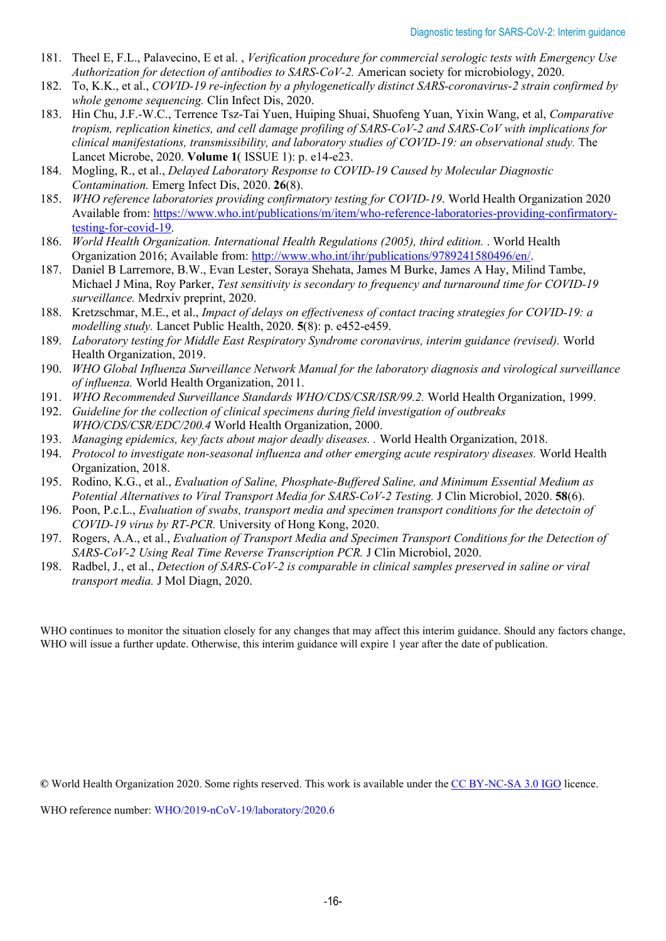- 181. Theel E, F.L., Palavecino, E et al. , *Verification procedure for commercial serologic tests with Emergency Use Authorization for detection of antibodies to SARS-CoV-2.* American society for microbiology, 2020.
- 182. To, K.K., et al., *COVID-19 re-infection by a phylogenetically distinct SARS-coronavirus-2 strain confirmed by whole genome sequencing.* Clin Infect Dis, 2020.
- 183. Hin Chu, J.F.-W.C., Terrence Tsz-Tai Yuen, Huiping Shuai, Shuofeng Yuan, Yixin Wang, et al, *Comparative tropism, replication kinetics, and cell damage profiling of SARS-CoV-2 and SARS-CoV with implications for clinical manifestations, transmissibility, and laboratory studies of COVID-19: an observational study.* The Lancet Microbe, 2020. **Volume 1**( ISSUE 1): p. e14-e23.
- 184. Mogling, R., et al., *Delayed Laboratory Response to COVID-19 Caused by Molecular Diagnostic Contamination.* Emerg Infect Dis, 2020. **26**(8).
- 185. *WHO reference laboratories providing confirmatory testing for COVID-19*. World Health Organization 2020 Available from: [https://www.who.int/publications/m/item/who-reference-laboratories-providing-confirmatory](https://www.who.int/publications/m/item/who-reference-laboratories-providing-confirmatory-testing-for-covid-19)[testing-for-covid-19.](https://www.who.int/publications/m/item/who-reference-laboratories-providing-confirmatory-testing-for-covid-19)
- 186. *World Health Organization. International Health Regulations (2005), third edition.* . World Health Organization 2016; Available from: [http://www.who.int/ihr/publications/9789241580496/en/.](http://www.who.int/ihr/publications/9789241580496/en/)
- 187. Daniel B Larremore, B.W., Evan Lester, Soraya Shehata, James M Burke, James A Hay, Milind Tambe, Michael J Mina, Roy Parker, *Test sensitivity is secondary to frequency and turnaround time for COVID-19 surveillance.* Medrxiv preprint, 2020.
- 188. Kretzschmar, M.E., et al., *Impact of delays on effectiveness of contact tracing strategies for COVID-19: a modelling study.* Lancet Public Health, 2020. **5**(8): p. e452-e459.
- 189. *Laboratory testing for Middle East Respiratory Syndrome coronavirus, interim guidance (revised).* World Health Organization, 2019.
- 190. *WHO Global Influenza Surveillance Network Manual for the laboratory diagnosis and virological surveillance of influenza.* World Health Organization, 2011.
- 191. *WHO Recommended Surveillance Standards WHO/CDS/CSR/ISR/99.2.* World Health Organization, 1999.
- 192. *Guideline for the collection of clinical specimens during field investigation of outbreaks WHO/CDS/CSR/EDC/200.4* World Health Organization, 2000.
- 193. *Managing epidemics, key facts about major deadly diseases. .* World Health Organization, 2018.
- 194. *Protocol to investigate non-seasonal influenza and other emerging acute respiratory diseases.* World Health Organization, 2018.
- 195. Rodino, K.G., et al., *Evaluation of Saline, Phosphate-Buffered Saline, and Minimum Essential Medium as Potential Alternatives to Viral Transport Media for SARS-CoV-2 Testing.* J Clin Microbiol, 2020. **58**(6).
- 196. Poon, P.c.L., *Evaluation of swabs, transport media and specimen transport conditions for the detectoin of COVID-19 virus by RT-PCR.* University of Hong Kong, 2020.
- 197. Rogers, A.A., et al., *Evaluation of Transport Media and Specimen Transport Conditions for the Detection of SARS-CoV-2 Using Real Time Reverse Transcription PCR.* J Clin Microbiol, 2020.
- 198. Radbel, J., et al., *Detection of SARS-CoV-2 is comparable in clinical samples preserved in saline or viral transport media.* J Mol Diagn, 2020.

WHO continues to monitor the situation closely for any changes that may affect this interim guidance. Should any factors change, WHO will issue a further update. Otherwise, this interim guidance will expire 1 year after the date of publication.

**©** World Health Organization 2020. Some rights reserved. This work is available under th[e CC BY-NC-SA 3.0 IGO](https://creativecommons.org/licenses/by-nc-sa/3.0/igo) licence.

WHO reference number: WHO/2019-nCoV-19/laboratory/2020.6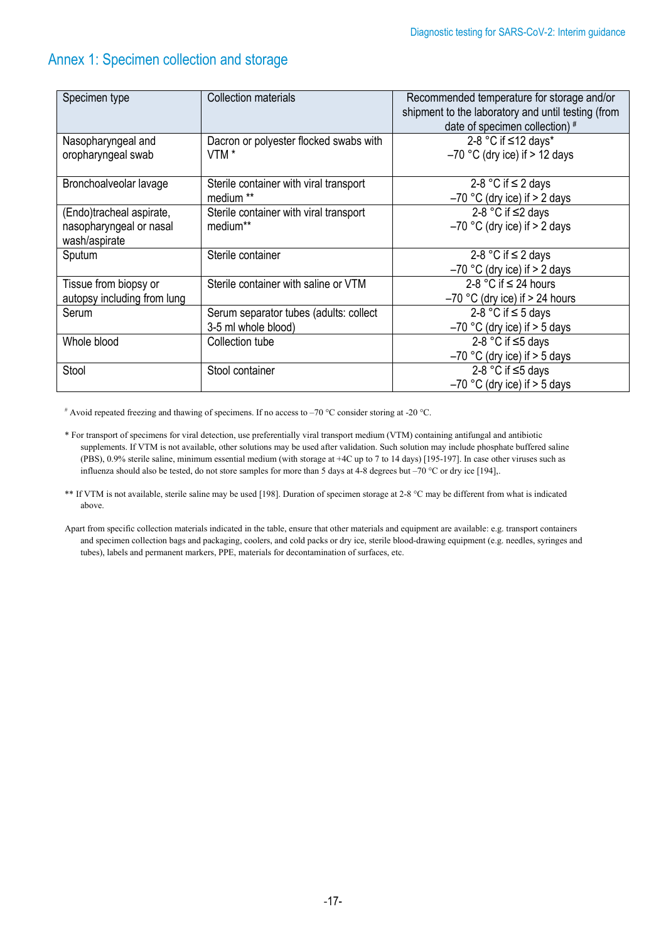# Annex 1: Specimen collection and storage

| Specimen type               | <b>Collection materials</b>            | Recommended temperature for storage and/or<br>shipment to the laboratory and until testing (from<br>date of specimen collection) # |
|-----------------------------|----------------------------------------|------------------------------------------------------------------------------------------------------------------------------------|
| Nasopharyngeal and          | Dacron or polyester flocked swabs with | 2-8 °C if ≤12 days*                                                                                                                |
| oropharyngeal swab          | VTM <sup>*</sup>                       | $-70$ °C (dry ice) if $> 12$ days                                                                                                  |
| Bronchoalveolar lavage      | Sterile container with viral transport | 2-8 °C if $\leq$ 2 days                                                                                                            |
|                             | medium <sup>**</sup>                   | $-70$ °C (dry ice) if $> 2$ days                                                                                                   |
| (Endo)tracheal aspirate,    | Sterile container with viral transport | 2-8 °C if $\leq$ 2 days                                                                                                            |
| nasopharyngeal or nasal     | medium**                               | $-70$ °C (dry ice) if $> 2$ days                                                                                                   |
| wash/aspirate               |                                        |                                                                                                                                    |
| Sputum                      | Sterile container                      | 2-8 °C if $\leq$ 2 days                                                                                                            |
|                             |                                        | $-70$ °C (dry ice) if $> 2$ days                                                                                                   |
| Tissue from biopsy or       | Sterile container with saline or VTM   | 2-8 °C if $\leq$ 24 hours                                                                                                          |
| autopsy including from lung |                                        | $-70$ °C (dry ice) if $> 24$ hours                                                                                                 |
| Serum                       | Serum separator tubes (adults: collect | 2-8 °C if $\leq$ 5 days                                                                                                            |
|                             | 3-5 ml whole blood)                    | $-70$ °C (dry ice) if $>$ 5 days                                                                                                   |
| Whole blood                 | Collection tube                        | 2-8 °C if $\leq$ 5 days                                                                                                            |
|                             |                                        | $-70$ °C (dry ice) if $>$ 5 days                                                                                                   |
| Stool                       | Stool container                        | 2-8 °C if $\leq$ 5 days                                                                                                            |
|                             |                                        | $-70$ °C (dry ice) if $>$ 5 days                                                                                                   |

# Avoid repeated freezing and thawing of specimens. If no access to –70 °C consider storing at -20 °C.

- \*\* If VTM is not available, sterile saline may be used [198]. Duration of specimen storage at 2-8 °C may be different from what is indicated above.
- Apart from specific collection materials indicated in the table, ensure that other materials and equipment are available: e.g. transport containers and specimen collection bags and packaging, coolers, and cold packs or dry ice, sterile blood-drawing equipment (e.g. needles, syringes and tubes), labels and permanent markers, PPE, materials for decontamination of surfaces, etc.

<sup>\*</sup> For transport of specimens for viral detection, use preferentially viral transport medium (VTM) containing antifungal and antibiotic supplements. If VTM is not available, other solutions may be used after validation. Such solution may include phosphate buffered saline (PBS), 0.9% sterile saline, minimum essential medium (with storage at +4C up to 7 to 14 days) [195-197]. In case other viruses such as influenza should also be tested, do not store samples for more than 5 days at 4-8 degrees but –70 °C or dry ice [194],.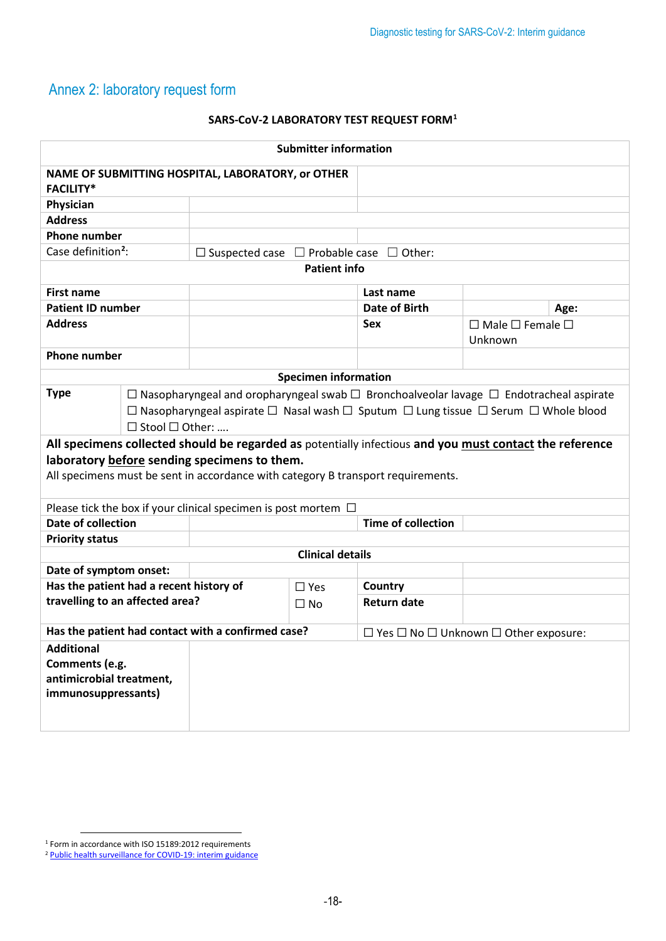# Annex 2: laboratory request form

#### **SARS-CoV-2 LABORATORY TEST REQUEST FORM[1](#page-17-0)**

| <b>Submitter information</b>                                                           |                                                                                                                                                                                                                                                            |                                                                     |                                                            |                           |                                                                                                         |  |
|----------------------------------------------------------------------------------------|------------------------------------------------------------------------------------------------------------------------------------------------------------------------------------------------------------------------------------------------------------|---------------------------------------------------------------------|------------------------------------------------------------|---------------------------|---------------------------------------------------------------------------------------------------------|--|
| NAME OF SUBMITTING HOSPITAL, LABORATORY, or OTHER<br><b>FACILITY*</b>                  |                                                                                                                                                                                                                                                            |                                                                     |                                                            |                           |                                                                                                         |  |
| Physician                                                                              |                                                                                                                                                                                                                                                            |                                                                     |                                                            |                           |                                                                                                         |  |
| <b>Address</b>                                                                         |                                                                                                                                                                                                                                                            |                                                                     |                                                            |                           |                                                                                                         |  |
| <b>Phone number</b>                                                                    |                                                                                                                                                                                                                                                            |                                                                     |                                                            |                           |                                                                                                         |  |
| Case definition <sup>2</sup> :                                                         |                                                                                                                                                                                                                                                            | $\Box$ Suspected case $\Box$ Probable case $\Box$ Other:            |                                                            |                           |                                                                                                         |  |
| <b>Patient info</b>                                                                    |                                                                                                                                                                                                                                                            |                                                                     |                                                            |                           |                                                                                                         |  |
| <b>First name</b>                                                                      |                                                                                                                                                                                                                                                            |                                                                     |                                                            | Last name                 |                                                                                                         |  |
| <b>Patient ID number</b>                                                               |                                                                                                                                                                                                                                                            |                                                                     |                                                            | Date of Birth             | Age:                                                                                                    |  |
| <b>Address</b>                                                                         |                                                                                                                                                                                                                                                            |                                                                     |                                                            | Sex                       | $\Box$ Male $\Box$ Female $\Box$<br>Unknown                                                             |  |
| <b>Phone number</b>                                                                    |                                                                                                                                                                                                                                                            |                                                                     |                                                            |                           |                                                                                                         |  |
|                                                                                        |                                                                                                                                                                                                                                                            |                                                                     | <b>Specimen information</b>                                |                           |                                                                                                         |  |
| <b>Type</b>                                                                            |                                                                                                                                                                                                                                                            |                                                                     |                                                            |                           |                                                                                                         |  |
|                                                                                        | $\Box$ Nasopharyngeal and oropharyngeal swab $\Box$ Bronchoalveolar lavage $\Box$ Endotracheal aspirate<br>$\Box$ Nasopharyngeal aspirate $\Box$ Nasal wash $\Box$ Sputum $\Box$ Lung tissue $\Box$ Serum $\Box$ Whole blood<br>$\Box$ Stool $\Box$ Other: |                                                                     |                                                            |                           |                                                                                                         |  |
|                                                                                        |                                                                                                                                                                                                                                                            |                                                                     |                                                            |                           | All specimens collected should be regarded as potentially infectious and you must contact the reference |  |
|                                                                                        |                                                                                                                                                                                                                                                            | laboratory before sending specimens to them.                        |                                                            |                           |                                                                                                         |  |
| All specimens must be sent in accordance with category B transport requirements.       |                                                                                                                                                                                                                                                            |                                                                     |                                                            |                           |                                                                                                         |  |
|                                                                                        |                                                                                                                                                                                                                                                            | Please tick the box if your clinical specimen is post mortem $\Box$ |                                                            |                           |                                                                                                         |  |
| <b>Date of collection</b>                                                              |                                                                                                                                                                                                                                                            |                                                                     |                                                            | <b>Time of collection</b> |                                                                                                         |  |
| <b>Priority status</b>                                                                 |                                                                                                                                                                                                                                                            |                                                                     |                                                            |                           |                                                                                                         |  |
|                                                                                        | <b>Clinical details</b>                                                                                                                                                                                                                                    |                                                                     |                                                            |                           |                                                                                                         |  |
| Date of symptom onset:                                                                 |                                                                                                                                                                                                                                                            |                                                                     |                                                            |                           |                                                                                                         |  |
| Has the patient had a recent history of                                                |                                                                                                                                                                                                                                                            |                                                                     | $\Box$ Yes                                                 | Country                   |                                                                                                         |  |
| travelling to an affected area?                                                        |                                                                                                                                                                                                                                                            |                                                                     | $\Box$ No                                                  | <b>Return date</b>        |                                                                                                         |  |
|                                                                                        |                                                                                                                                                                                                                                                            |                                                                     |                                                            |                           |                                                                                                         |  |
| Has the patient had contact with a confirmed case?                                     |                                                                                                                                                                                                                                                            |                                                                     | $\Box$ Yes $\Box$ No $\Box$ Unknown $\Box$ Other exposure: |                           |                                                                                                         |  |
| <b>Additional</b><br>Comments (e.g.<br>antimicrobial treatment,<br>immunosuppressants) |                                                                                                                                                                                                                                                            |                                                                     |                                                            |                           |                                                                                                         |  |

<span id="page-17-0"></span> $1$  Form in accordance with ISO 15189:2012 requirements

<span id="page-17-1"></span><sup>&</sup>lt;sup>2</sup> [Public health surveillance for](https://apps.who.int/iris/handle/10665/333752) COVID-19: interim guidance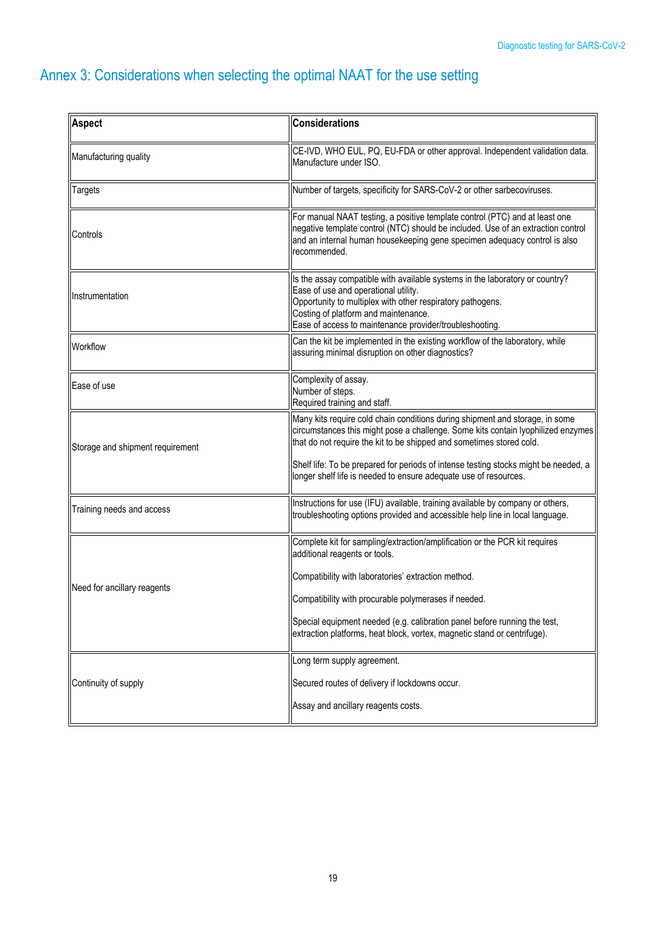# Annex 3: Considerations when selecting the optimal NAAT for the use setting

| Aspect                           | <b>Considerations</b>                                                                                                                                                                                                                                                                                                                                                                               |  |  |
|----------------------------------|-----------------------------------------------------------------------------------------------------------------------------------------------------------------------------------------------------------------------------------------------------------------------------------------------------------------------------------------------------------------------------------------------------|--|--|
| Manufacturing quality            | CE-IVD, WHO EUL, PQ, EU-FDA or other approval. Independent validation data.<br>Manufacture under ISO.                                                                                                                                                                                                                                                                                               |  |  |
| <b>Targets</b>                   | Number of targets, specificity for SARS-CoV-2 or other sarbecoviruses.                                                                                                                                                                                                                                                                                                                              |  |  |
| Controls                         | For manual NAAT testing, a positive template control (PTC) and at least one<br>negative template control (NTC) should be included. Use of an extraction control<br>and an internal human housekeeping gene specimen adequacy control is also<br>recommended.                                                                                                                                        |  |  |
| Instrumentation                  | Is the assay compatible with available systems in the laboratory or country?<br>Ease of use and operational utility.<br>Opportunity to multiplex with other respiratory pathogens.<br>Costing of platform and maintenance.<br>Ease of access to maintenance provider/troubleshooting.                                                                                                               |  |  |
| Workflow                         | Can the kit be implemented in the existing workflow of the laboratory, while<br>assuring minimal disruption on other diagnostics?                                                                                                                                                                                                                                                                   |  |  |
| Ease of use                      | Complexity of assay.<br>Number of steps.<br>Required training and staff.                                                                                                                                                                                                                                                                                                                            |  |  |
| Storage and shipment requirement | Many kits require cold chain conditions during shipment and storage, in some<br>circumstances this might pose a challenge. Some kits contain lyophilized enzymes<br>that do not require the kit to be shipped and sometimes stored cold.<br>Shelf life: To be prepared for periods of intense testing stocks might be needed, a<br>longer shelf life is needed to ensure adequate use of resources. |  |  |
| Training needs and access        | Instructions for use (IFU) available, training available by company or others,<br>troubleshooting options provided and accessible help line in local language.                                                                                                                                                                                                                                      |  |  |
| Need for ancillary reagents      | Complete kit for sampling/extraction/amplification or the PCR kit requires<br>additional reagents or tools.<br>Compatibility with laboratories' extraction method.<br>Compatibility with procurable polymerases if needed.<br>Special equipment needed (e.g. calibration panel before running the test,<br>extraction platforms, heat block, vortex, magnetic stand or centrifuge).                 |  |  |
| Continuity of supply             | Long term supply agreement.<br>Secured routes of delivery if lockdowns occur.<br>Assay and ancillary reagents costs.                                                                                                                                                                                                                                                                                |  |  |